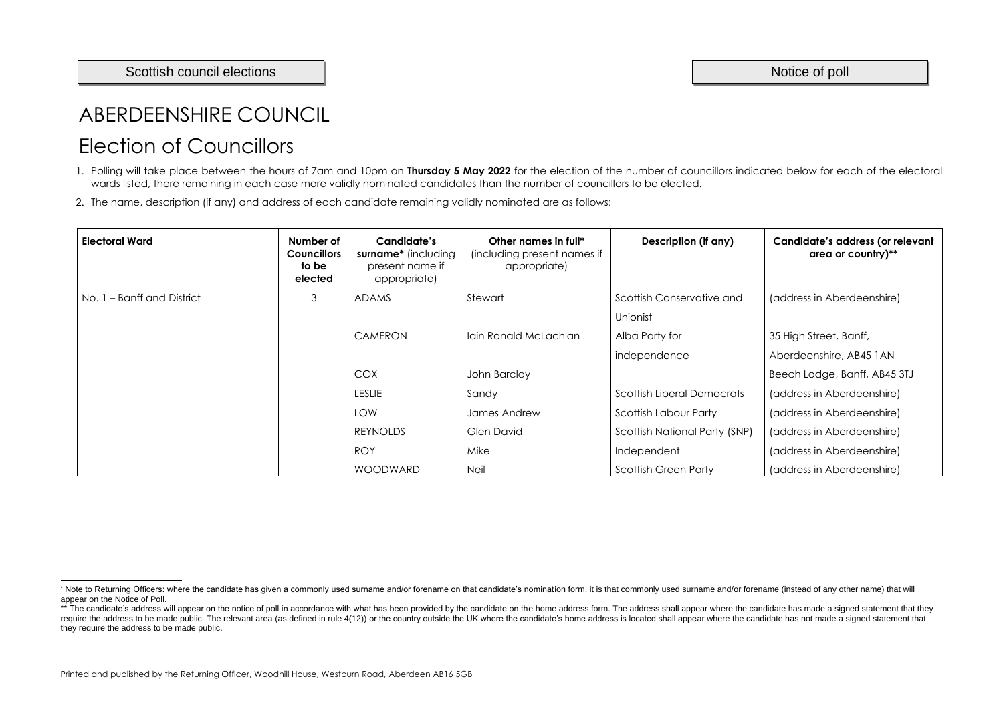# ABERDEENSHIRE COUNCIL Election of Councillors

- 1. Polling will take place between the hours of 7am and 10pm on **Thursday 5 May 2022** for the election of the number of councillors indicated below for each of the electoral wards listed, there remaining in each case more validly nominated candidates than the number of councillors to be elected.
- 2. The name, description (if any) and address of each candidate remaining validly nominated are as follows:

| <b>Electoral Ward</b>      | Number of<br><b>Councillors</b><br>to be<br>elected | <b>Candidate's</b><br>surname* (including<br>present name if<br>appropriate) | Other names in full*<br>(including present names if<br>appropriate) | Description (if any)                 | Candidate's address (or relevant<br>area or country)** |
|----------------------------|-----------------------------------------------------|------------------------------------------------------------------------------|---------------------------------------------------------------------|--------------------------------------|--------------------------------------------------------|
| No. 1 – Banff and District | 3                                                   | <b>ADAMS</b>                                                                 | Stewart                                                             | Scottish Conservative and            | (address in Aberdeenshire)                             |
|                            |                                                     |                                                                              |                                                                     | Unionist                             |                                                        |
|                            |                                                     | <b>CAMERON</b>                                                               | Iain Ronald McLachlan                                               | Alba Party for                       | 35 High Street, Banff,                                 |
|                            |                                                     |                                                                              |                                                                     | independence                         | Aberdeenshire, AB45 1AN                                |
|                            |                                                     | <b>COX</b>                                                                   | John Barclay                                                        |                                      | Beech Lodge, Banff, AB45 3TJ                           |
|                            |                                                     | <b>LESLIE</b>                                                                | Sandy                                                               | Scottish Liberal Democrats           | (address in Aberdeenshire)                             |
|                            |                                                     | <b>LOW</b>                                                                   | James Andrew                                                        | Scottish Labour Party                | (address in Aberdeenshire)                             |
|                            |                                                     | <b>REYNOLDS</b>                                                              | Glen David                                                          | <b>Scottish National Party (SNP)</b> | (address in Aberdeenshire)                             |
|                            |                                                     | <b>ROY</b>                                                                   | Mike                                                                | Independent                          | (address in Aberdeenshire)                             |
|                            |                                                     | <b>WOODWARD</b>                                                              | <b>Neil</b>                                                         | <b>Scottish Green Party</b>          | (address in Aberdeenshire)                             |

<sup>\*</sup> Note to Returning Officers: where the candidate has given a commonly used surname and/or forename on that candidate's nomination form, it is that commonly used surname and/or forename (instead of any other name) that wil appear on the Notice of Poll.

<sup>\*\*</sup> The candidate's address will appear on the notice of poll in accordance with what has been provided by the candidate on the home address form. The address shall appear where the candidate has made a signed statement tha require the address to be made public. The relevant area (as defined in rule 4(12)) or the country outside the UK where the candidate's home address is located shall appear where the candidate has not made a signed stateme they require the address to be made public.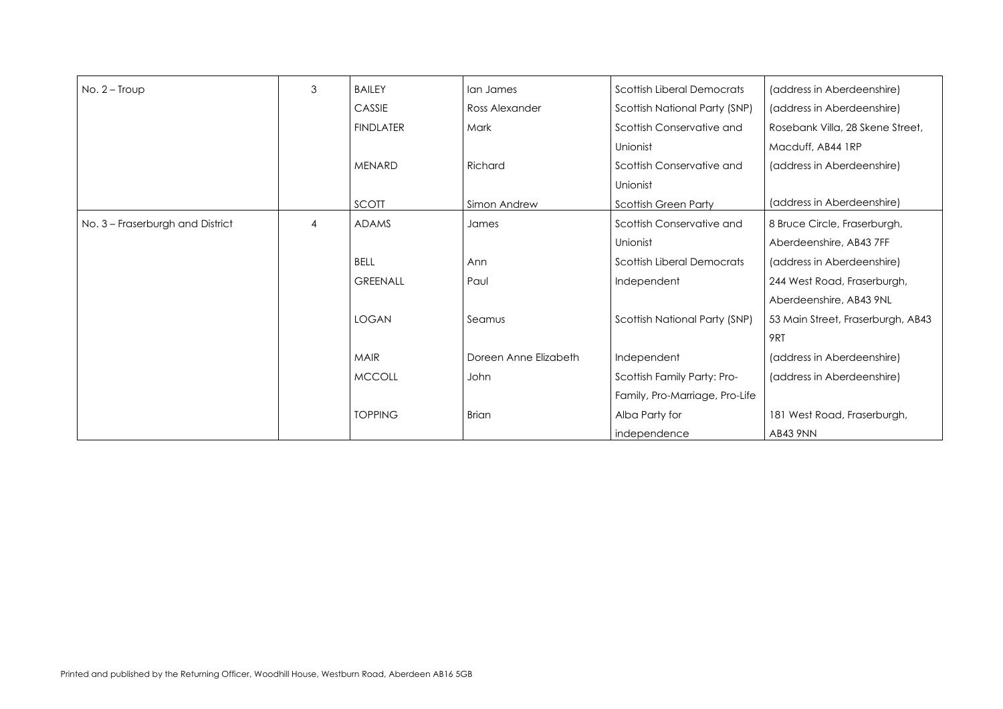(address in Aberdeenshire) (address in Aberdeenshire) Rosebank Villa, 28 Skene Street, Macduff, AB44 1RP (address in Aberdeenshire)

| $No. 2 - Troup$                  | 3              | <b>BAILEY</b>    | lan James             | <b>Scottish Liberal Democrats</b> |
|----------------------------------|----------------|------------------|-----------------------|-----------------------------------|
|                                  |                | CASSIE           | Ross Alexander        | Scottish National Party (SNP)     |
|                                  |                | <b>FINDLATER</b> | Mark                  | Scottish Conservative and         |
|                                  |                |                  |                       | Unionist                          |
|                                  |                | <b>MENARD</b>    | Richard               | Scottish Conservative and         |
|                                  |                |                  |                       | Unionist                          |
|                                  |                | SCOTT            | Simon Andrew          | <b>Scottish Green Party</b>       |
| No. 3 - Fraserburgh and District | $\overline{4}$ | <b>ADAMS</b>     | James                 | Scottish Conservative and         |
|                                  |                |                  |                       | Unionist                          |
|                                  |                | <b>BELL</b>      | Ann                   | <b>Scottish Liberal Democrats</b> |
|                                  |                | <b>GREENALL</b>  | Paul                  | Independent                       |
|                                  |                |                  |                       |                                   |
|                                  |                | <b>LOGAN</b>     | Seamus                | Scottish National Party (SNP)     |
|                                  |                |                  |                       |                                   |
|                                  |                | <b>MAIR</b>      | Doreen Anne Elizabeth | Independent                       |
|                                  |                | <b>MCCOLL</b>    | John                  | Scottish Family Party: Pro-       |
|                                  |                |                  |                       | Family, Pro-Marriage, Pro-Life    |
|                                  |                | <b>TOPPING</b>   | <b>Brian</b>          | Alba Party for                    |
|                                  |                |                  |                       | independence                      |

(address in Aberdeenshire)

8 Bruce Circle, Fraserburgh, Aberdeenshire, AB43 7FF (address in Aberdeenshire) 244 West Road, Fraserburgh, Aberdeenshire, AB43 9NL 53 Main Street, Fraserburgh, AB43 9RT (address in Aberdeenshire) (address in Aberdeenshire) 181 West Road, Fraserburgh,

AB43 9NN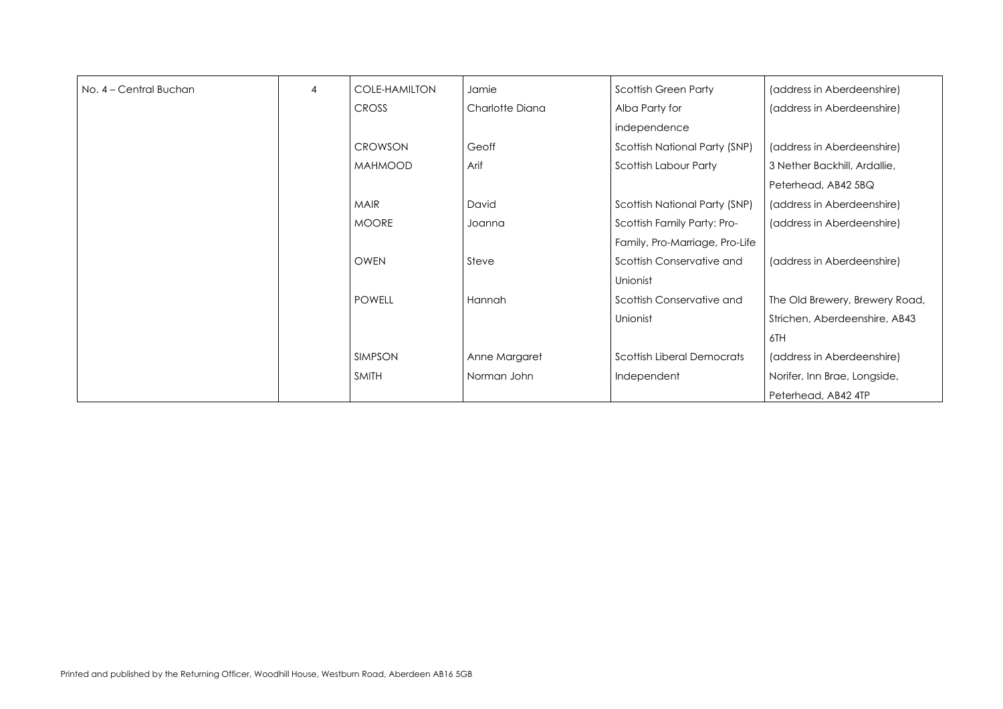| No. 4 - Central Buchan | $\overline{4}$ | <b>COLE-HAMILTON</b> | Jamie           | <b>Scottish Green Party</b>       |
|------------------------|----------------|----------------------|-----------------|-----------------------------------|
|                        |                | <b>CROSS</b>         | Charlotte Diana | Alba Party for                    |
|                        |                |                      |                 | independence                      |
|                        |                | <b>CROWSON</b>       | Geoff           | Scottish National Party (SNP)     |
|                        |                | <b>MAHMOOD</b>       | Arif            | <b>Scottish Labour Party</b>      |
|                        |                |                      |                 |                                   |
|                        |                | <b>MAIR</b>          | David           | Scottish National Party (SNP)     |
|                        |                | <b>MOORE</b>         | Joanna          | Scottish Family Party: Pro-       |
|                        |                |                      |                 | Family, Pro-Marriage, Pro-Life    |
|                        |                | <b>OWEN</b>          | Steve           | Scottish Conservative and         |
|                        |                |                      |                 | Unionist                          |
|                        |                | <b>POWELL</b>        | Hannah          | Scottish Conservative and         |
|                        |                |                      |                 | Unionist                          |
|                        |                |                      |                 |                                   |
|                        |                | <b>SIMPSON</b>       | Anne Margaret   | <b>Scottish Liberal Democrats</b> |
|                        |                | <b>SMITH</b>         | Norman John     | Independent                       |
|                        |                |                      |                 |                                   |

The Old Brewery, Brewery Road, Strichen, Aberdeenshire, AB43 6TH (address in Aberdeenshire) Norifer, Inn Brae, Longside, Peterhead, AB42 4TP

(address in Aberdeenshire) (address in Aberdeenshire)

(address in Aberdeenshire) 3 Nether Backhill, Ardallie, Peterhead, AB42 5BQ (address in Aberdeenshire) (address in Aberdeenshire)

(address in Aberdeenshire)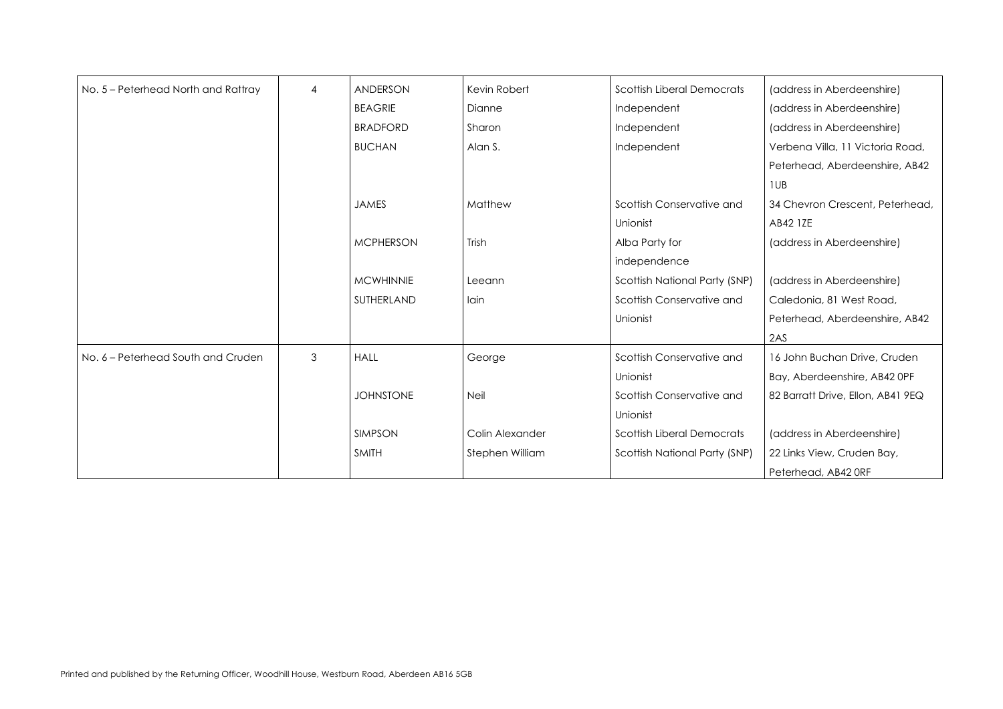| No. 5 - Peterhead North and Rattray | $\overline{4}$ | <b>ANDERSON</b>  | Kevin Robert    | <b>Scottish Liberal Democrats</b>    |
|-------------------------------------|----------------|------------------|-----------------|--------------------------------------|
|                                     |                | <b>BEAGRIE</b>   | Dianne          | Independent                          |
|                                     |                | <b>BRADFORD</b>  | Sharon          | Independent                          |
|                                     |                | <b>BUCHAN</b>    | Alan S.         | Independent                          |
|                                     |                |                  |                 |                                      |
|                                     |                | <b>JAMES</b>     | Matthew         | Scottish Conservative and            |
|                                     |                |                  |                 |                                      |
|                                     |                |                  |                 | Unionist                             |
|                                     |                | <b>MCPHERSON</b> | Trish           | Alba Party for                       |
|                                     |                |                  |                 | independence                         |
|                                     |                | <b>MCWHINNIE</b> | Leeann          | Scottish National Party (SNP)        |
|                                     |                | SUTHERLAND       | lain            | Scottish Conservative and            |
|                                     |                |                  |                 | Unionist                             |
| No. 6 - Peterhead South and Cruden  | 3              | <b>HALL</b>      | George          | Scottish Conservative and            |
|                                     |                |                  |                 | Unionist                             |
|                                     |                | <b>JOHNSTONE</b> | <b>Neil</b>     | Scottish Conservative and            |
|                                     |                |                  |                 | Unionist                             |
|                                     |                | <b>SIMPSON</b>   | Colin Alexander | <b>Scottish Liberal Democrats</b>    |
|                                     |                | <b>SMITH</b>     | Stephen William | <b>Scottish National Party (SNP)</b> |
|                                     |                |                  |                 |                                      |

```
(address in Aberdeenshire)
(address in Aberdeenshire)
(address in Aberdeenshire)
Verbena Villa, 11 Victoria Road,
Peterhead, Aberdeenshire, AB42
1UB
34 Chevron Crescent, Peterhead,
AB42 1ZE
(address in Aberdeenshire)
(address in Aberdeenshire)
Caledonia, 81 West Road,
Peterhead, Aberdeenshire, AB42
2AS
16 John Buchan Drive, Cruden
Bay, Aberdeenshire, AB42 0PF
82 Barratt Drive, Ellon, AB41 9EQ
(address in Aberdeenshire)
22 Links View, Cruden Bay, 
Peterhead, AB42 0RF
```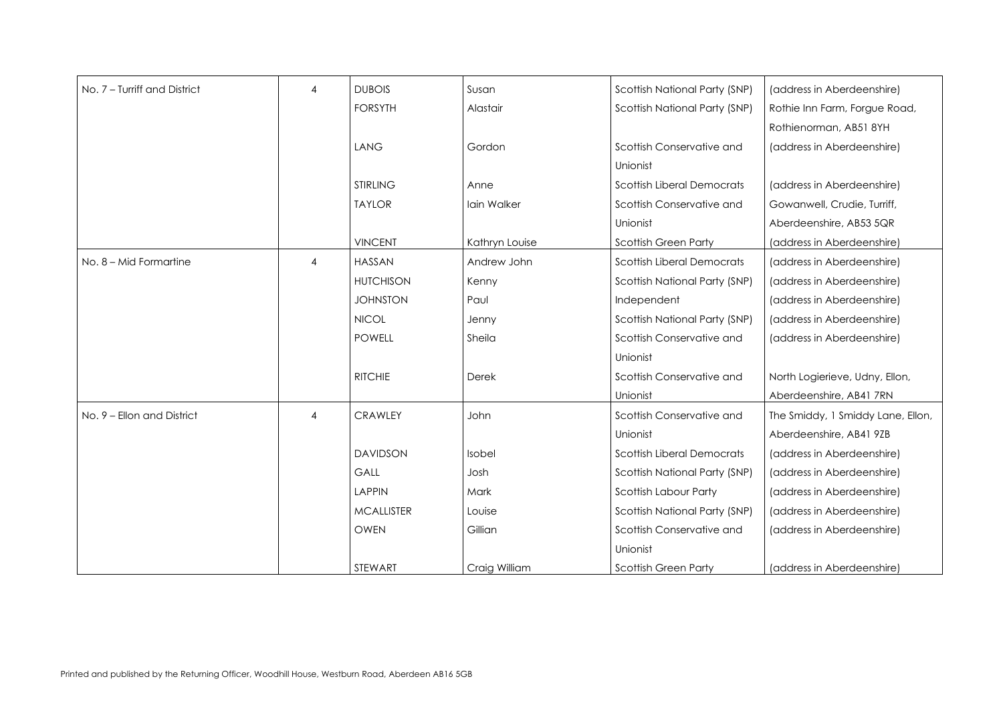(address in Aberdeenshire) Rothie Inn Farm, Forgue Road, Rothienorman, AB51 8YH (address in Aberdeenshire)

| No. 7 - Turriff and District | $\overline{4}$ | <b>DUBOIS</b>     | Susan          | Scottish National Party (SNP)        |
|------------------------------|----------------|-------------------|----------------|--------------------------------------|
|                              |                | <b>FORSYTH</b>    | Alastair       | Scottish National Party (SNP)        |
|                              |                |                   |                |                                      |
|                              |                | <b>LANG</b>       | Gordon         | Scottish Conservative and            |
|                              |                |                   |                | Unionist                             |
|                              |                | <b>STIRLING</b>   | Anne           | <b>Scottish Liberal Democrats</b>    |
|                              |                | <b>TAYLOR</b>     | Iain Walker    | Scottish Conservative and            |
|                              |                |                   |                | Unionist                             |
|                              |                | <b>VINCENT</b>    | Kathryn Louise | <b>Scottish Green Party</b>          |
| No. 8 - Mid Formartine       | $\overline{4}$ | <b>HASSAN</b>     | Andrew John    | <b>Scottish Liberal Democrats</b>    |
|                              |                | <b>HUTCHISON</b>  | Kenny          | Scottish National Party (SNP)        |
|                              |                | <b>JOHNSTON</b>   | Paul           | Independent                          |
|                              |                | <b>NICOL</b>      | Jenny          | <b>Scottish National Party (SNP)</b> |
|                              |                | <b>POWELL</b>     | Sheila         | Scottish Conservative and            |
|                              |                |                   |                | Unionist                             |
|                              |                | <b>RITCHIE</b>    | Derek          | Scottish Conservative and            |
|                              |                |                   |                | Unionist                             |
| No. 9 - Ellon and District   | 4              | <b>CRAWLEY</b>    | John           | Scottish Conservative and            |
|                              |                |                   |                | Unionist                             |
|                              |                | <b>DAVIDSON</b>   | Isobel         | <b>Scottish Liberal Democrats</b>    |
|                              |                | GALL              | Josh           | Scottish National Party (SNP)        |
|                              |                | <b>LAPPIN</b>     | Mark           | <b>Scottish Labour Party</b>         |
|                              |                | <b>MCALLISTER</b> | Louise         | <b>Scottish National Party (SNP)</b> |
|                              |                | <b>OWEN</b>       | Gillian        | Scottish Conservative and            |
|                              |                |                   |                | Unionist                             |
|                              |                | STEWART           | Craig William  | <b>Scottish Green Party</b>          |

(address in Aberdeenshire) Gowanwell, Crudie, Turriff, Aberdeenshire, AB53 5QR (address in Aberdeenshire) (address in Aberdeenshire) (address in Aberdeenshire) (address in Aberdeenshire) (address in Aberdeenshire) (address in Aberdeenshire)

North Logierieve, Udny, Ellon, Aberdeenshire, AB41 7RN The Smiddy, 1 Smiddy Lane, Ellon, Aberdeenshire, AB41 9ZB (address in Aberdeenshire) (address in Aberdeenshire) (address in Aberdeenshire) (address in Aberdeenshire) (address in Aberdeenshire)

(address in Aberdeenshire)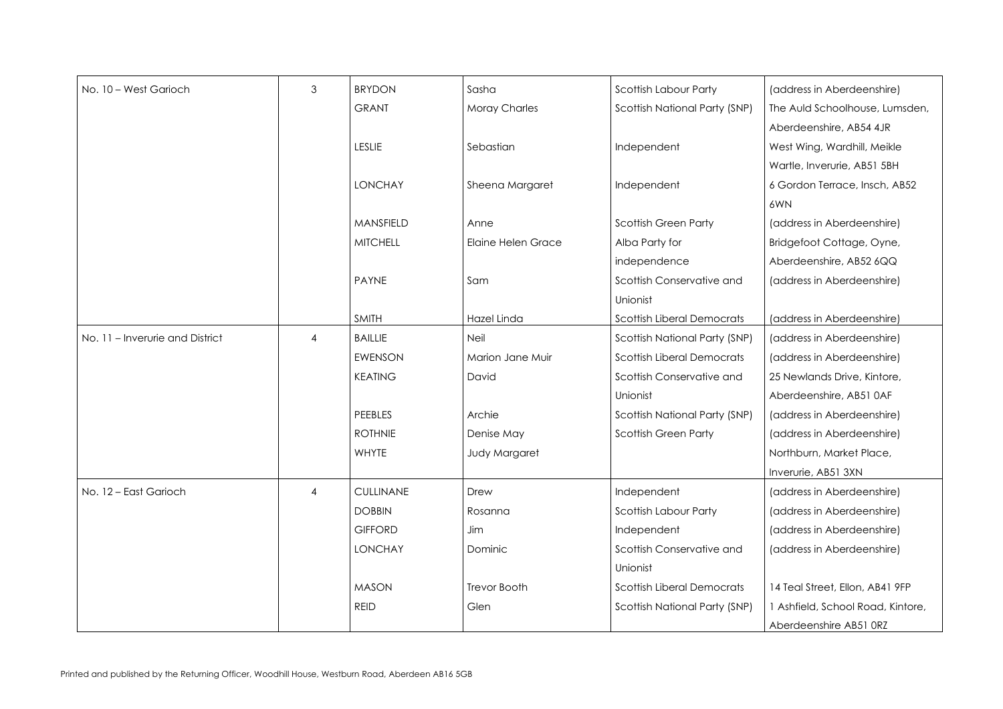| No. 10 - West Garioch           | 3              | <b>BRYDON</b>    | Sasha                     | <b>Scottish Labour Party</b>         |
|---------------------------------|----------------|------------------|---------------------------|--------------------------------------|
|                                 |                | <b>GRANT</b>     | <b>Moray Charles</b>      | Scottish National Party (SNP)        |
|                                 |                |                  |                           |                                      |
|                                 |                | <b>LESLIE</b>    | Sebastian                 | Independent                          |
|                                 |                |                  |                           |                                      |
|                                 |                | <b>LONCHAY</b>   | Sheena Margaret           | Independent                          |
|                                 |                |                  |                           |                                      |
|                                 |                | MANSFIELD        | Anne                      | <b>Scottish Green Party</b>          |
|                                 |                | <b>MITCHELL</b>  | <b>Elaine Helen Grace</b> | Alba Party for                       |
|                                 |                |                  |                           | independence                         |
|                                 |                | <b>PAYNE</b>     | Sam                       | Scottish Conservative and            |
|                                 |                |                  |                           | Unionist                             |
|                                 |                | <b>SMITH</b>     | Hazel Linda               | <b>Scottish Liberal Democrats</b>    |
| No. 11 - Inverurie and District | $\overline{4}$ | <b>BAILLIE</b>   | <b>Neil</b>               | <b>Scottish National Party (SNP)</b> |
|                                 |                | <b>EWENSON</b>   | Marion Jane Muir          | <b>Scottish Liberal Democrats</b>    |
|                                 |                | <b>KEATING</b>   | David                     | Scottish Conservative and            |
|                                 |                |                  |                           | Unionist                             |
|                                 |                | PEEBLES          | Archie                    | Scottish National Party (SNP)        |
|                                 |                | <b>ROTHNIE</b>   | Denise May                | <b>Scottish Green Party</b>          |
|                                 |                | <b>WHYTE</b>     | <b>Judy Margaret</b>      |                                      |
|                                 |                |                  |                           |                                      |
| No. 12 - East Garioch           | $\overline{4}$ | <b>CULLINANE</b> | Drew                      | Independent                          |
|                                 |                | <b>DOBBIN</b>    | Rosanna                   | <b>Scottish Labour Party</b>         |
|                                 |                | <b>GIFFORD</b>   | Jim                       | Independent                          |
|                                 |                | <b>LONCHAY</b>   | Dominic                   | Scottish Conservative and            |
|                                 |                |                  |                           | Unionist                             |
|                                 |                | <b>MASON</b>     | <b>Trevor Booth</b>       | <b>Scottish Liberal Democrats</b>    |
|                                 |                | <b>REID</b>      | Glen                      | <b>Scottish National Party (SNP)</b> |
|                                 |                |                  |                           |                                      |

(address in Aberdeenshire) The Auld Schoolhouse, Lumsden, Aberdeenshire, AB54 4JR West Wing, Wardhill, Meikle Wartle, Inverurie, AB51 5BH 6 Gordon Terrace, Insch, AB52 6WN (address in Aberdeenshire) Bridgefoot Cottage, Oyne, Aberdeenshire, AB52 6QQ (address in Aberdeenshire) (address in Aberdeenshire) (address in Aberdeenshire) (address in Aberdeenshire) 25 Newlands Drive, Kintore, Aberdeenshire, AB51 0AF (address in Aberdeenshire) (address in Aberdeenshire) Northburn, Market Place, Inverurie, AB51 3XN (address in Aberdeenshire) (address in Aberdeenshire) (address in Aberdeenshire) (address in Aberdeenshire) 14 Teal Street, Ellon, AB41 9FP 1 Ashfield, School Road, Kintore, Aberdeenshire AB51 0RZ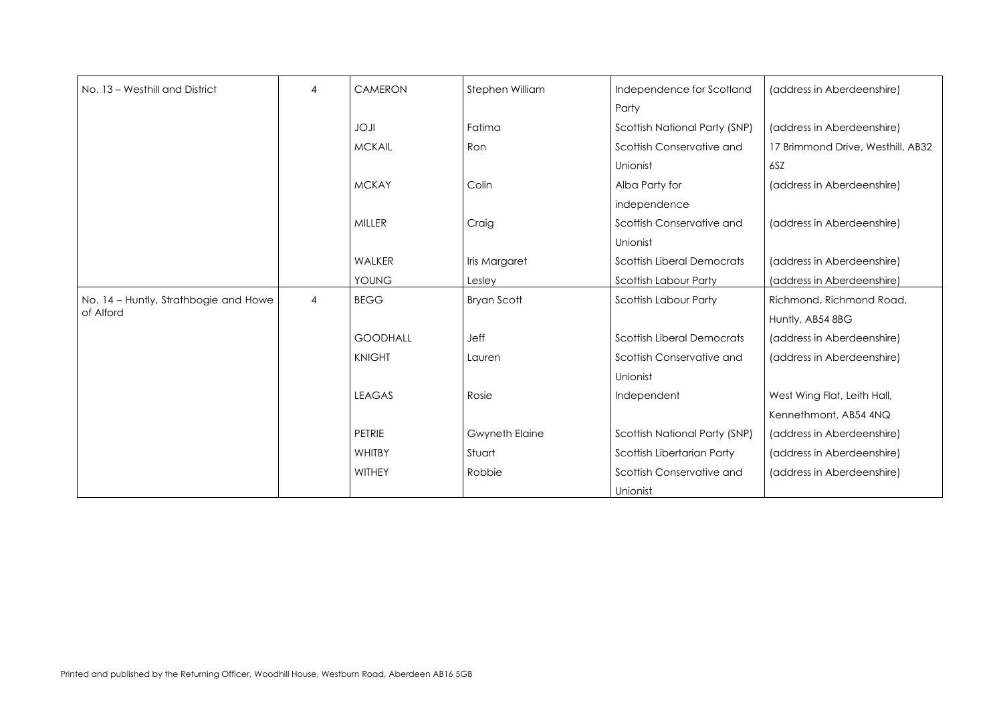(address in Aberdeenshire)

(address in Aberdeenshire) 17 Brimmond Drive, Westhill, AB32 6SZ

| No. 13 - Westhill and District                     | $\overline{4}$ | <b>CAMERON</b>  | Stephen William       | Independence for Scotland         |
|----------------------------------------------------|----------------|-----------------|-----------------------|-----------------------------------|
|                                                    |                |                 |                       | Party                             |
|                                                    |                | <b>ILOL</b>     | Fatima                | Scottish National Party (SNP)     |
|                                                    |                | <b>MCKAIL</b>   | Ron                   | Scottish Conservative and         |
|                                                    |                |                 |                       | Unionist                          |
|                                                    |                | <b>MCKAY</b>    | Colin                 | Alba Party for                    |
|                                                    |                |                 |                       | independence                      |
|                                                    |                | <b>MILLER</b>   | Craig                 | Scottish Conservative and         |
|                                                    |                |                 |                       | Unionist                          |
|                                                    |                | WALKER          | Iris Margaret         | <b>Scottish Liberal Democrats</b> |
|                                                    |                | YOUNG           | Lesley                | <b>Scottish Labour Party</b>      |
| No. 14 - Huntly, Strathbogie and Howe<br>of Alford | $\overline{4}$ | <b>BEGG</b>     | <b>Bryan Scott</b>    | <b>Scottish Labour Party</b>      |
|                                                    |                | <b>GOODHALL</b> | Jeff                  | <b>Scottish Liberal Democrats</b> |
|                                                    |                | <b>KNIGHT</b>   | Lauren                | Scottish Conservative and         |
|                                                    |                |                 |                       | Unionist                          |
|                                                    |                | <b>LEAGAS</b>   | Rosie                 | Independent                       |
|                                                    |                | <b>PETRIE</b>   | <b>Gwyneth Elaine</b> | Scottish National Party (SNP)     |
|                                                    |                | <b>WHITBY</b>   | Stuart                | Scottish Libertarian Party        |
|                                                    |                | <b>WITHEY</b>   | Robbie                | Scottish Conservative and         |
|                                                    |                |                 |                       | Unionist                          |

(address in Aberdeenshire)

(address in Aberdeenshire)

(address in Aberdeenshire) (address in Aberdeenshire) Richmond, Richmond Road, Huntly, AB54 8BG (address in Aberdeenshire) (address in Aberdeenshire)

West Wing Flat, Leith Hall, Kennethmont, AB54 4NQ (address in Aberdeenshire) (address in Aberdeenshire) (address in Aberdeenshire)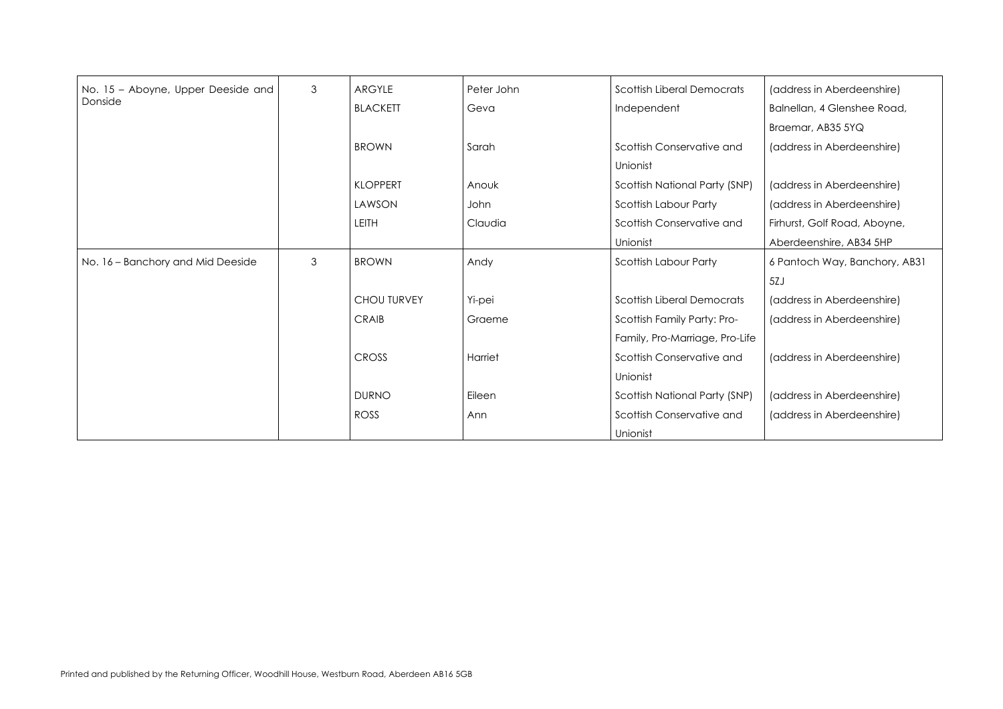(address in Aberdeenshire) Balnellan, 4 Glenshee Road, Braemar, AB35 5YQ (address in Aberdeenshire)

| No. 15 - Aboyne, Upper Deeside and | $\mathfrak{S}$ | <b>ARGYLE</b>      | Peter John | <b>Scottish Liberal Democrats</b> |
|------------------------------------|----------------|--------------------|------------|-----------------------------------|
| Donside                            |                | <b>BLACKETT</b>    | Geva       | Independent                       |
|                                    |                |                    |            |                                   |
|                                    |                | <b>BROWN</b>       | Sarah      | Scottish Conservative and         |
|                                    |                |                    |            | Unionist                          |
|                                    |                | <b>KLOPPERT</b>    | Anouk      | Scottish National Party (SNP)     |
|                                    |                | LAWSON             | John       | Scottish Labour Party             |
|                                    |                | <b>LEITH</b>       | Claudia    | Scottish Conservative and         |
|                                    |                |                    |            | Unionist                          |
| No. 16 - Banchory and Mid Deeside  | $\mathfrak{S}$ | <b>BROWN</b>       | Andy       | Scottish Labour Party             |
|                                    |                |                    |            |                                   |
|                                    |                | <b>CHOU TURVEY</b> | Yi-pei     | <b>Scottish Liberal Democrats</b> |
|                                    |                | <b>CRAIB</b>       | Graeme     | Scottish Family Party: Pro-       |
|                                    |                |                    |            | Family, Pro-Marriage, Pro-Life    |
|                                    |                | <b>CROSS</b>       | Harriet    | Scottish Conservative and         |
|                                    |                |                    |            | Unionist                          |
|                                    |                | <b>DURNO</b>       | Eileen     | Scottish National Party (SNP)     |
|                                    |                | <b>ROSS</b>        | Ann        | Scottish Conservative and         |
|                                    |                |                    |            | Unionist                          |

(address in Aberdeenshire) (address in Aberdeenshire) Firhurst, Golf Road, Aboyne, Aberdeenshire, AB34 5HP 6 Pantoch Way, Banchory, AB31 5ZJ (address in Aberdeenshire) (address in Aberdeenshire) (address in Aberdeenshire)

(address in Aberdeenshire) (address in Aberdeenshire)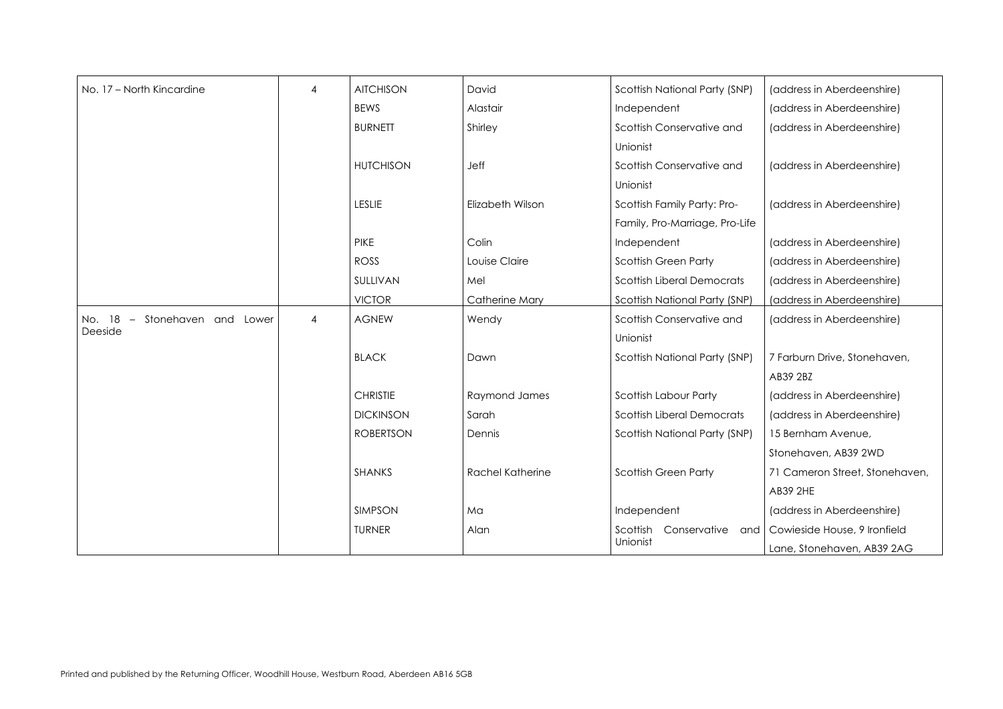| No. 17 - North Kincardine                  | $\overline{4}$ | <b>AITCHISON</b> | David                   | Scottish National Party (SNP)               |
|--------------------------------------------|----------------|------------------|-------------------------|---------------------------------------------|
|                                            |                | <b>BEWS</b>      | Alastair                | Independent                                 |
|                                            |                | <b>BURNETT</b>   | Shirley                 | Scottish Conservative and                   |
|                                            |                |                  |                         | Unionist                                    |
|                                            |                | <b>HUTCHISON</b> | <b>Jeff</b>             | Scottish Conservative and                   |
|                                            |                |                  |                         | Unionist                                    |
|                                            |                | <b>LESLIE</b>    | Elizabeth Wilson        | Scottish Family Party: Pro-                 |
|                                            |                |                  |                         | Family, Pro-Marriage, Pro-Life              |
|                                            |                | <b>PIKE</b>      | Colin                   | Independent                                 |
|                                            |                | <b>ROSS</b>      | Louise Claire           | <b>Scottish Green Party</b>                 |
|                                            |                | SULLIVAN         | Mel                     | <b>Scottish Liberal Democrats</b>           |
|                                            |                | <b>VICTOR</b>    | <b>Catherine Mary</b>   | Scottish National Party (SNP)               |
| Stonehaven and Lower<br>No. 18<br>$\equiv$ | $\overline{4}$ | <b>AGNEW</b>     | Wendy                   | Scottish Conservative and                   |
| Deeside                                    |                |                  |                         | Unionist                                    |
|                                            |                | <b>BLACK</b>     | Dawn                    | Scottish National Party (SNP)               |
|                                            |                | <b>CHRISTIE</b>  | Raymond James           | Scottish Labour Party                       |
|                                            |                | <b>DICKINSON</b> | Sarah                   | <b>Scottish Liberal Democrats</b>           |
|                                            |                | <b>ROBERTSON</b> | Dennis                  |                                             |
|                                            |                |                  |                         | Scottish National Party (SNP)               |
|                                            |                | <b>SHANKS</b>    | <b>Rachel Katherine</b> | <b>Scottish Green Party</b>                 |
|                                            |                | <b>SIMPSON</b>   | Ma                      | Independent                                 |
|                                            |                | <b>TURNER</b>    | Alan                    | Conservative<br>Scottish<br>and<br>Unionist |
|                                            |                |                  |                         |                                             |

```
(address in Aberdeenshire)
   (address in Aberdeenshire)
   (address in Aberdeenshire)
   (address in Aberdeenshire)
   (address in Aberdeenshire)
   (address in Aberdeenshire)
  (address in Aberdeenshire)
   (address in Aberdeenshire)
  (address in Aberdeenshire)
   (address in Aberdeenshire)
  7 Farburn Drive, Stonehaven, 
   AB39 2BZ
   (address in Aberdeenshire)
   (address in Aberdeenshire)
   15 Bernham Avenue, 
  Stonehaven, AB39 2WD
  71 Cameron Street, Stonehaven,
   AB39 2HE
   (address in Aberdeenshire)
Cowieside House, 9 Ironfield 
  Lane, Stonehaven, AB39 2AG
```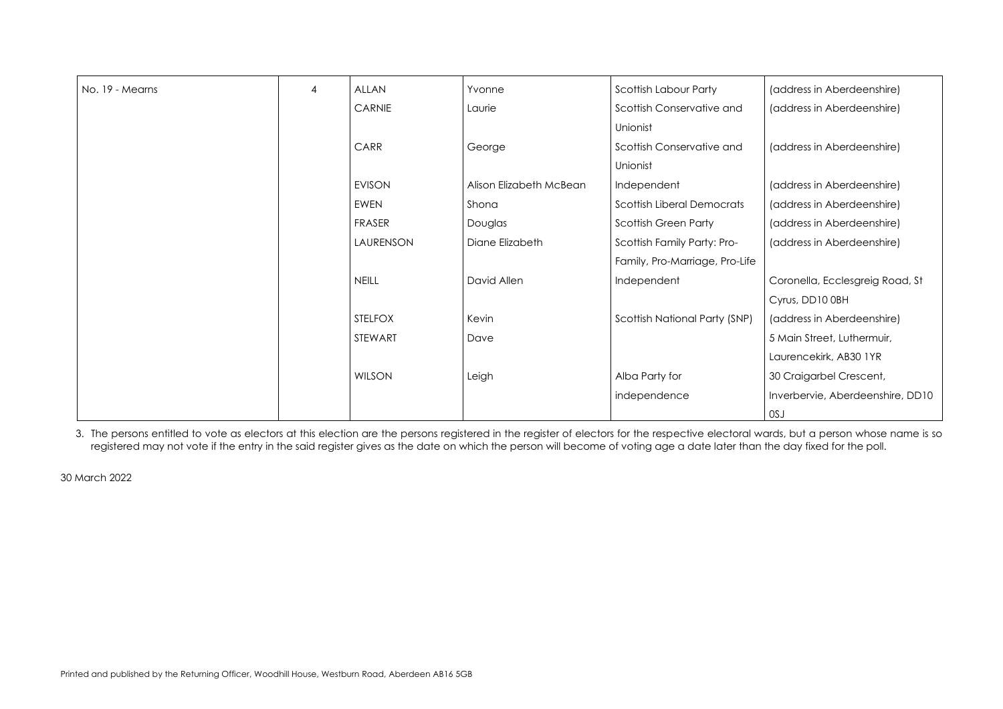```
(address in Aberdeenshire)
 (address in Aberdeenshire)
  (address in Aberdeenshire)
  (address in Aberdeenshire)
 (address in Aberdeenshire)
  (address in Aberdeenshire)
 (address in Aberdeenshire)
 Coronella, Ecclesgreig Road, St 
 Cyrus, DD10 0BH
 (address in Aberdeenshire)
  5 Main Street, Luthermuir, 
 Laurencekirk, AB30 1YR
 30 Craigarbel Crescent, 
 Inverbervie, Aberdeenshire, DD10
\vert OSJ
```

| No. 19 - Mearns | $\overline{4}$ | ALLAN          | Yvonne                  | Scottish Labour Party             |
|-----------------|----------------|----------------|-------------------------|-----------------------------------|
|                 |                | <b>CARNIE</b>  | Laurie                  | Scottish Conservative and         |
|                 |                |                |                         | Unionist                          |
|                 |                | CARR           | George                  | Scottish Conservative and         |
|                 |                |                |                         | Unionist                          |
|                 |                | <b>EVISON</b>  | Alison Elizabeth McBean | Independent                       |
|                 |                | <b>EWEN</b>    | Shona                   | <b>Scottish Liberal Democrats</b> |
|                 |                | <b>FRASER</b>  | Douglas                 | <b>Scottish Green Party</b>       |
|                 |                | LAURENSON      | Diane Elizabeth         | Scottish Family Party: Pro-       |
|                 |                |                |                         | Family, Pro-Marriage, Pro-Life    |
|                 |                | <b>NEILL</b>   | David Allen             | Independent                       |
|                 |                |                |                         |                                   |
|                 |                | <b>STELFOX</b> | Kevin                   | Scottish National Party (SNP)     |
|                 |                | STEWART        | Dave                    |                                   |
|                 |                |                |                         |                                   |
|                 |                | <b>WILSON</b>  | Leigh                   | Alba Party for                    |
|                 |                |                |                         | independence                      |
|                 |                |                |                         |                                   |

3. The persons entitled to vote as electors at this election are the persons registered in the register of electors for the respective electoral wards, but a person whose name is so registered may not vote if the entry in the said register gives as the date on which the person will become of voting age a date later than the day fixed for the poll.

30 March 2022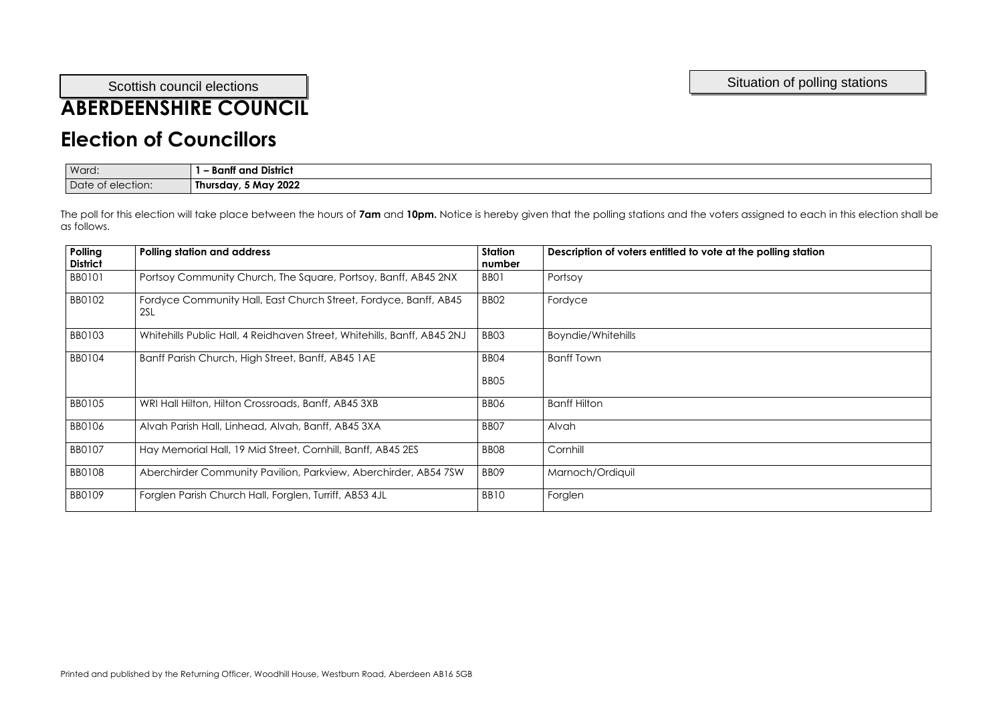# **ABERDEENSHIRE COUNCIL**

## **Election of Councillors**

| Ward:     | and District<br>ווחנ<br>ы. |
|-----------|----------------------------|
| Date      | 5 May 2022                 |
| election: | <b>Thursday</b>            |
| <b>OL</b> |                            |

| Polling<br><b>District</b> | <b>Polling station and address</b>                                      | <b>Station</b><br>number             | Description of voters entitled to vote at the polling station |
|----------------------------|-------------------------------------------------------------------------|--------------------------------------|---------------------------------------------------------------|
| <b>BB0101</b>              | Portsoy Community Church, The Square, Portsoy, Banff, AB45 2NX          | BB01                                 | Portsoy                                                       |
| BB0102                     | Fordyce Community Hall, East Church Street, Fordyce, Banff, AB45<br>2SL | BB <sub>02</sub>                     | Fordyce                                                       |
| BB0103                     | Whitehills Public Hall, 4 Reidhaven Street, Whitehills, Banff, AB45 2NJ | BB <sub>03</sub>                     | <b>Boyndie/Whitehills</b>                                     |
| BB0104                     | Banff Parish Church, High Street, Banff, AB45 1AE                       | BB <sub>04</sub><br>BB <sub>05</sub> | <b>Banff Town</b>                                             |
| <b>BB0105</b>              | WRI Hall Hilton, Hilton Crossroads, Banff, AB45 3XB                     | BB <sub>06</sub>                     | <b>Banff Hilton</b>                                           |
| <b>BB0106</b>              | Alvah Parish Hall, Linhead, Alvah, Banff, AB45 3XA                      | BB <sub>07</sub>                     | Alvah                                                         |
| BB0107                     | Hay Memorial Hall, 19 Mid Street, Cornhill, Banff, AB45 2ES             | BB <sub>08</sub>                     | Cornhill                                                      |
| <b>BB0108</b>              | Aberchirder Community Pavilion, Parkview, Aberchirder, AB54 7SW         | BB09                                 | Marnoch/Ordiquil                                              |
| BB0109                     | Forglen Parish Church Hall, Forglen, Turriff, AB53 4JL                  | BB10                                 | Forglen                                                       |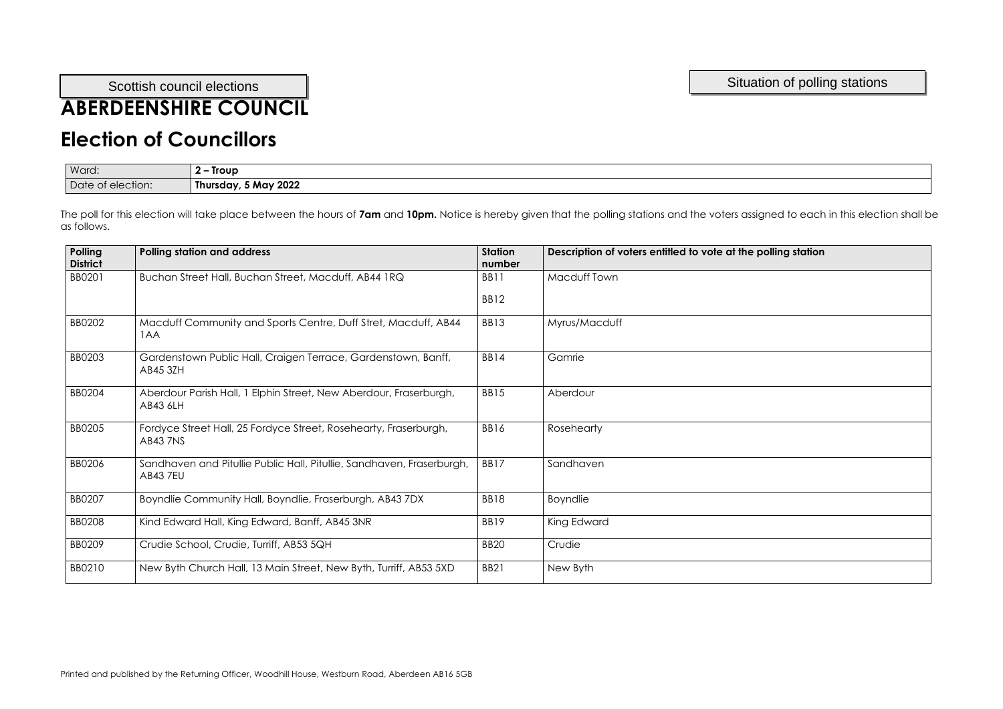#### Scottish council elections and the station of polling stations and the stations of polling stations and the stations

## **ABERDEENSHIRE COUNCIL**

## **Election of Councillors**

| Ward:        | Troup<br>$\overline{\phantom{0}}$ |
|--------------|-----------------------------------|
| Date         | 5 May 2022                        |
| of election: | Thursday,                         |

| Polling<br><b>District</b> | <b>Polling station and address</b>                                                       | <b>Station</b><br>number | Description of voters entitled to vote at the polling station |
|----------------------------|------------------------------------------------------------------------------------------|--------------------------|---------------------------------------------------------------|
| BB0201                     | Buchan Street Hall, Buchan Street, Macduff, AB44 IRQ                                     | <b>BB11</b>              | Macduff Town                                                  |
|                            |                                                                                          | BB12                     |                                                               |
| BB0202                     | Macduff Community and Sports Centre, Duff Stret, Macduff, AB44<br>1AA                    | <b>BB13</b>              | Myrus/Macduff                                                 |
| BB0203                     | Gardenstown Public Hall, Craigen Terrace, Gardenstown, Banff,<br>AB45 3ZH                | BB14                     | Gamrie                                                        |
| <b>BB0204</b>              | Aberdour Parish Hall, 1 Elphin Street, New Aberdour, Fraserburgh,<br>AB43 6LH            | <b>BB15</b>              | Aberdour                                                      |
| BB0205                     | Fordyce Street Hall, 25 Fordyce Street, Rosehearty, Fraserburgh,<br><b>AB43 7NS</b>      | BB16                     | Rosehearty                                                    |
| BB0206                     | Sandhaven and Pitullie Public Hall, Pitullie, Sandhaven, Fraserburgh,<br><b>AB43 7EU</b> | BB17                     | Sandhaven                                                     |
| BB0207                     | Boyndlie Community Hall, Boyndlie, Fraserburgh, AB43 7DX                                 | <b>BB18</b>              | <b>Boyndlie</b>                                               |
| <b>BB0208</b>              | Kind Edward Hall, King Edward, Banff, AB45 3NR                                           | BB19                     | King Edward                                                   |
| BB0209                     | Crudie School, Crudie, Turriff, AB53 5QH                                                 | <b>BB20</b>              | Crudie                                                        |
| BB0210                     | New Byth Church Hall, 13 Main Street, New Byth, Turriff, AB53 5XD                        | <b>BB21</b>              | New Byth                                                      |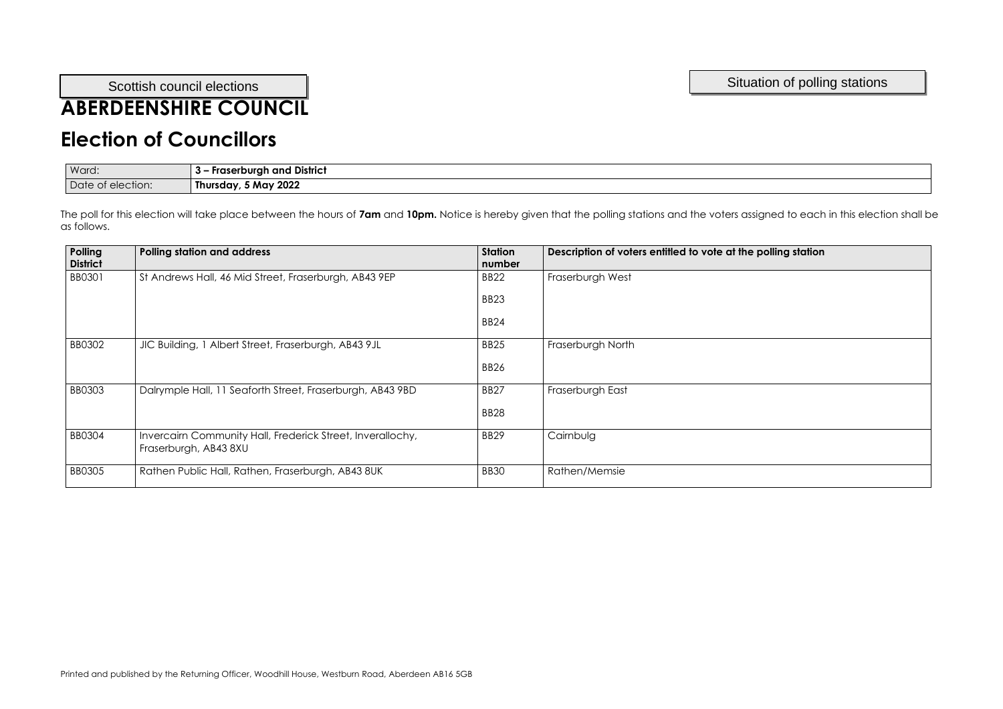## **ABERDEENSHIRE COUNCIL**

## **Election of Councillors**

| Ward:             | <b>Fraserburgh and District</b> |
|-------------------|---------------------------------|
| Date of election: | Thursday, 5 May 2022            |

| Polling<br><b>District</b> | <b>Polling station and address</b>                                                  | <b>Station</b><br>number | Description of voters entitled to vote at the polling station |
|----------------------------|-------------------------------------------------------------------------------------|--------------------------|---------------------------------------------------------------|
| BB0301                     | St Andrews Hall, 46 Mid Street, Fraserburgh, AB43 9EP                               | <b>BB22</b>              | Fraserburgh West                                              |
|                            |                                                                                     | <b>BB23</b>              |                                                               |
|                            |                                                                                     | <b>BB24</b>              |                                                               |
| <b>BB0302</b>              | JIC Building, 1 Albert Street, Fraserburgh, AB43 9JL                                | <b>BB25</b>              | Fraserburgh North                                             |
|                            |                                                                                     | <b>BB26</b>              |                                                               |
| <b>BB0303</b>              | Dalrymple Hall, 11 Seaforth Street, Fraserburgh, AB43 9BD                           | <b>BB27</b>              | Fraserburgh East                                              |
|                            |                                                                                     | <b>BB28</b>              |                                                               |
| <b>BB0304</b>              | Invercairn Community Hall, Frederick Street, Inverallochy,<br>Fraserburgh, AB43 8XU | <b>BB29</b>              | Cairnbulg                                                     |
| <b>BB0305</b>              | Rathen Public Hall, Rathen, Fraserburgh, AB43 8UK                                   | <b>BB30</b>              | Rathen/Memsie                                                 |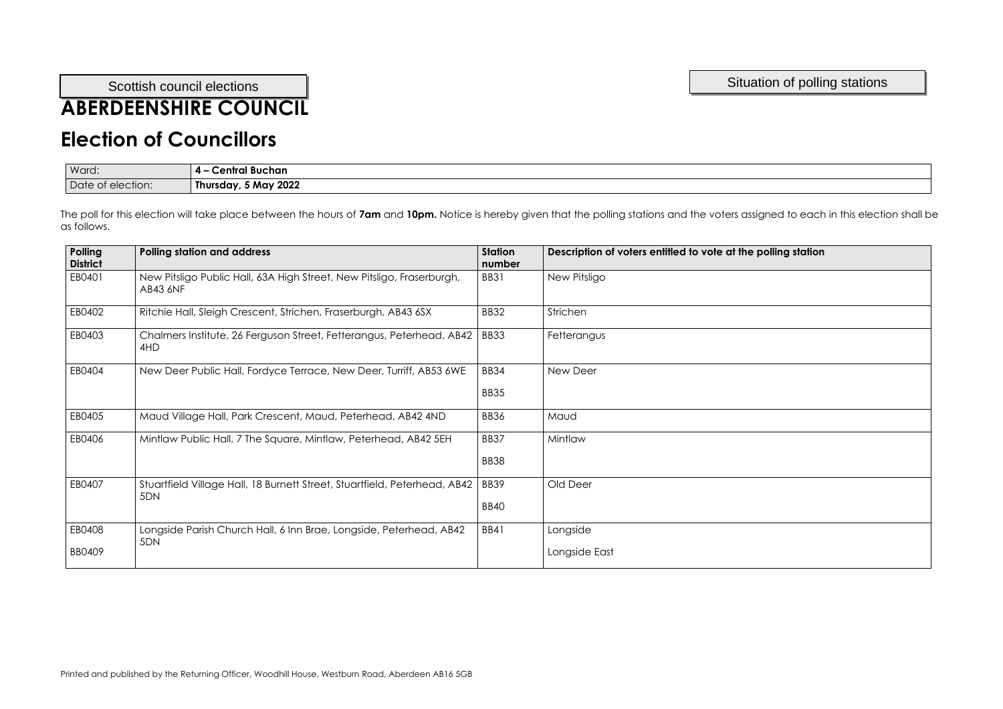# **ABERDEENSHIRE COUNCIL**

## **Election of Councillors**

| Ward:             | . .<br>Central Buchan<br><b>4 –</b> |
|-------------------|-------------------------------------|
| Date of election: | Thursday, 5 May 2022                |

| Polling<br><b>District</b> | <b>Polling station and address</b>                                                       | <b>Station</b><br>number | Description of voters entitled to vote at the polling station |
|----------------------------|------------------------------------------------------------------------------------------|--------------------------|---------------------------------------------------------------|
| EB0401                     | New Pitsligo Public Hall, 63A High Street, New Pitsligo, Fraserburgh,<br><b>AB43 6NF</b> | <b>BB31</b>              | New Pitsligo                                                  |
| EB0402                     | Ritchie Hall, Sleigh Crescent, Strichen, Fraserburgh, AB43 6SX                           | <b>BB32</b>              | Strichen                                                      |
| EB0403                     | Chalmers Institute, 26 Ferguson Street, Fetterangus, Peterhead, AB42<br>4HD              | <b>BB33</b>              | Fetterangus                                                   |
| EB0404                     | New Deer Public Hall, Fordyce Terrace, New Deer, Turriff, AB53 6WE                       | <b>BB34</b>              | New Deer                                                      |
|                            |                                                                                          | BB35                     |                                                               |
| EB0405                     | Maud Village Hall, Park Crescent, Maud, Peterhead, AB42 4ND                              | <b>BB36</b>              | Maud                                                          |
| EB0406                     | Mintlaw Public Hall, 7 The Square, Mintlaw, Peterhead, AB42 5EH                          | BB37                     | Mintlaw                                                       |
|                            |                                                                                          | <b>BB38</b>              |                                                               |
| EB0407                     | Stuartfield Village Hall, 18 Burnett Street, Stuartfield, Peterhead, AB42                | BB39                     | Old Deer                                                      |
|                            | 5DN                                                                                      | <b>BB40</b>              |                                                               |
| EB0408                     | Longside Parish Church Hall, 6 Inn Brae, Longside, Peterhead, AB42<br>5DN                | <b>BB41</b>              | Longside                                                      |
| BB0409                     |                                                                                          |                          | Longside East                                                 |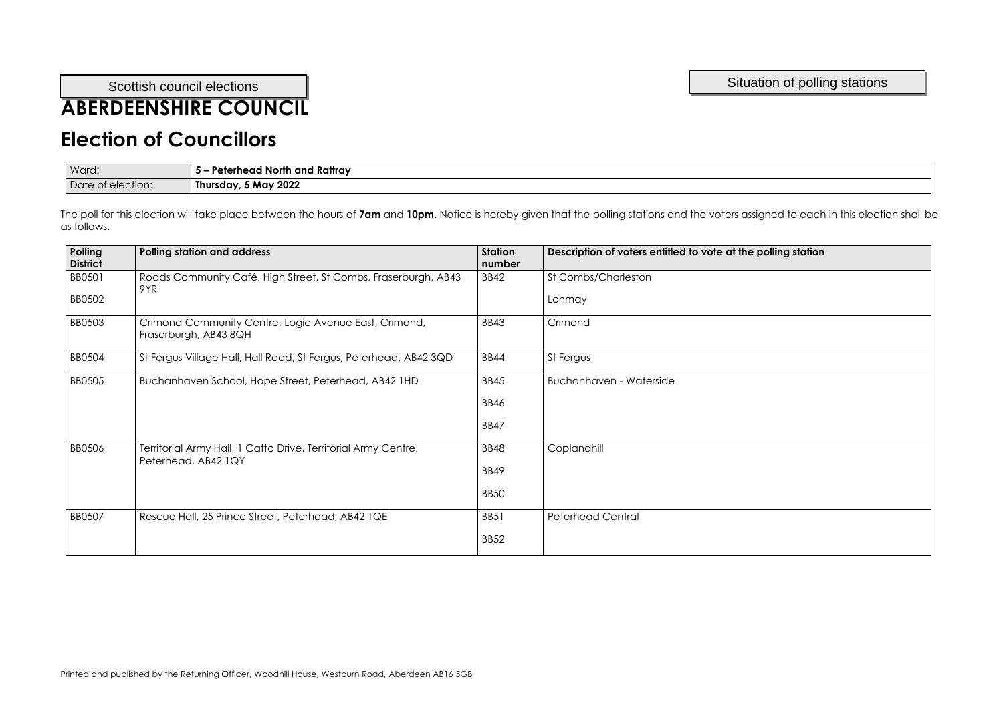## **ABERDEENSHIRE COUNCIL**

#### **Election of Councillors**

| Ward:        | <b>J North and Rattray</b><br>Peterhead<br>. |
|--------------|----------------------------------------------|
| Date         | 5 May 2022                                   |
| of election: | Thursday,                                    |

| <b>Polling</b><br><b>District</b> | <b>Polling station and address</b>                                                    | <b>Station</b><br>number | Description of voters entitled to vote at the polling station |
|-----------------------------------|---------------------------------------------------------------------------------------|--------------------------|---------------------------------------------------------------|
| BB0501<br><b>BB0502</b>           | Roads Community Café, High Street, St Combs, Fraserburgh, AB43<br>9YR                 | <b>BB42</b>              | St Combs/Charleston<br>Lonmay                                 |
|                                   |                                                                                       |                          |                                                               |
| <b>BB0503</b>                     | Crimond Community Centre, Logie Avenue East, Crimond,<br>Fraserburgh, AB43 8QH        | <b>BB43</b>              | Crimond                                                       |
| <b>BB0504</b>                     | St Fergus Village Hall, Hall Road, St Fergus, Peterhead, AB42 3QD                     | <b>BB44</b>              | St Fergus                                                     |
| <b>BB0505</b>                     | Buchanhaven School, Hope Street, Peterhead, AB42 1HD                                  | <b>BB45</b>              | <b>Buchanhaven - Waterside</b>                                |
|                                   |                                                                                       | <b>BB46</b>              |                                                               |
|                                   |                                                                                       | <b>BB47</b>              |                                                               |
| <b>BB0506</b>                     | Territorial Army Hall, 1 Catto Drive, Territorial Army Centre,<br>Peterhead, AB42 1QY | <b>BB48</b>              | Coplandhill                                                   |
|                                   |                                                                                       | <b>BB49</b>              |                                                               |
|                                   |                                                                                       | BB <sub>50</sub>         |                                                               |
| <b>BB0507</b>                     | Rescue Hall, 25 Prince Street, Peterhead, AB42 1QE                                    | <b>BB51</b>              | <b>Peterhead Central</b>                                      |
|                                   |                                                                                       | <b>BB52</b>              |                                                               |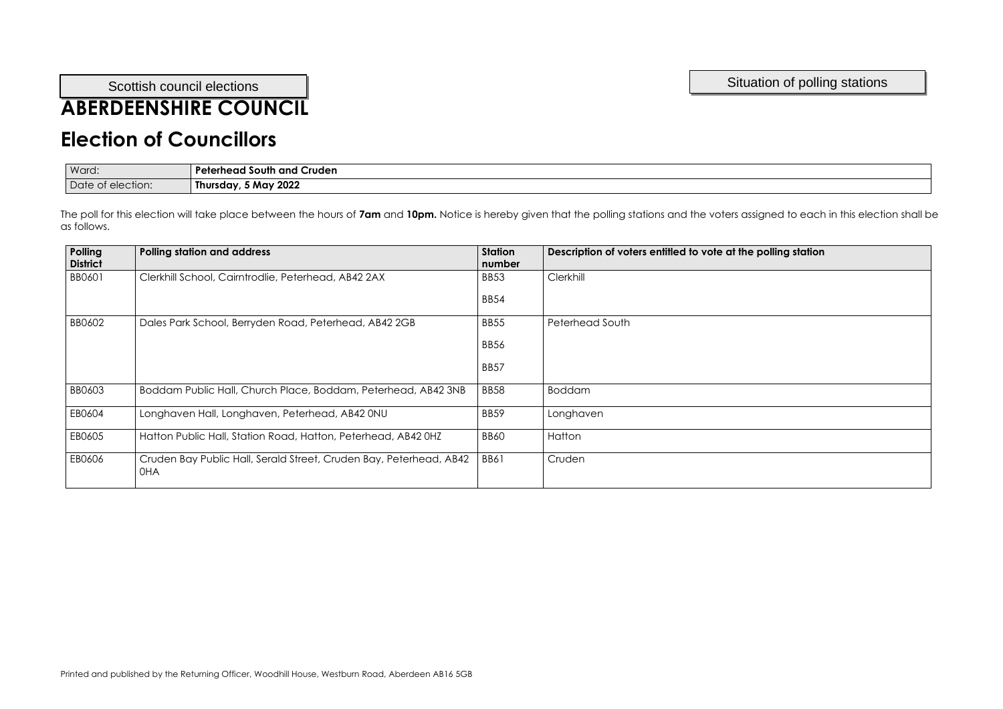## **ABERDEENSHIRE COUNCIL**

#### **Election of Councillors**

| Ward:                  | Cruden<br>Peterheac<br>. South and <b>r</b> |
|------------------------|---------------------------------------------|
| Date of<br>t election: | 5 May 2022<br>Thursday,                     |

| Polling<br><b>District</b> | <b>Polling station and address</b>                                        | <b>Station</b><br>number | Description of voters entitled to vote at the polling station |
|----------------------------|---------------------------------------------------------------------------|--------------------------|---------------------------------------------------------------|
| BB0601                     | Clerkhill School, Cairntrodlie, Peterhead, AB42 2AX                       | <b>BB53</b>              | Clerkhill                                                     |
|                            |                                                                           | <b>BB54</b>              |                                                               |
| BB0602                     | Dales Park School, Berryden Road, Peterhead, AB42 2GB                     | <b>BB55</b>              | Peterhead South                                               |
|                            |                                                                           | <b>BB56</b>              |                                                               |
|                            |                                                                           | <b>BB57</b>              |                                                               |
| <b>BB0603</b>              | Boddam Public Hall, Church Place, Boddam, Peterhead, AB42 3NB             | BB58                     | <b>Boddam</b>                                                 |
| EB0604                     | Longhaven Hall, Longhaven, Peterhead, AB42 0NU                            | BB59                     | Longhaven                                                     |
| EB0605                     | Hatton Public Hall, Station Road, Hatton, Peterhead, AB42 0HZ             | <b>BB60</b>              | Hatton                                                        |
| EB0606                     | Cruden Bay Public Hall, Serald Street, Cruden Bay, Peterhead, AB42<br>0HA | <b>BB61</b>              | Cruden                                                        |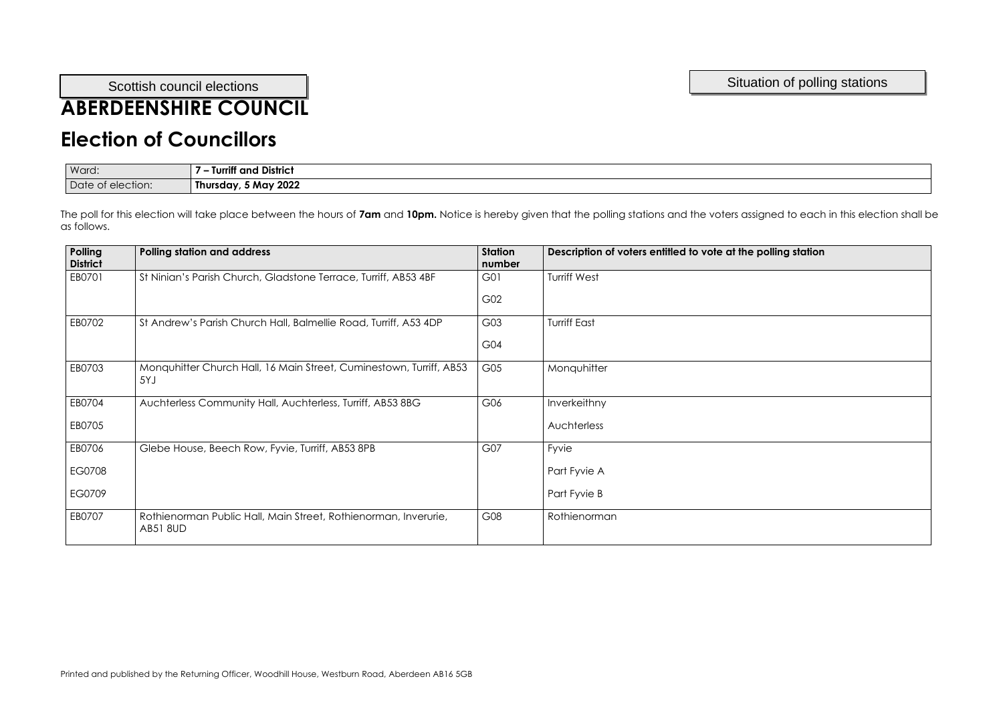# **ABERDEENSHIRE COUNCIL**

### **Election of Councillors**

| Ward:     | <br><b>District</b><br>and |
|-----------|----------------------------|
| Date      | 5 May 2022                 |
| election: | <b>Thursday</b>            |
| <b>OL</b> |                            |

| Polling<br><b>District</b> | <b>Polling station and address</b>                                                 | <b>Station</b><br>number | Description of voters entitled to vote at the polling station |
|----------------------------|------------------------------------------------------------------------------------|--------------------------|---------------------------------------------------------------|
| EB0701                     | St Ninian's Parish Church, Gladstone Terrace, Turriff, AB53 4BF                    | G01                      | <b>Turriff West</b>                                           |
|                            |                                                                                    | G02                      |                                                               |
| EB0702                     | St Andrew's Parish Church Hall, Balmellie Road, Turriff, A53 4DP                   | G03                      | <b>Turriff East</b>                                           |
|                            |                                                                                    | G04                      |                                                               |
| EB0703                     | Monquhitter Church Hall, 16 Main Street, Cuminestown, Turriff, AB53<br>5YJ         | G05                      | Monquhitter                                                   |
| EB0704                     | Auchterless Community Hall, Auchterless, Turriff, AB53 8BG                         | G06                      | Inverkeithny                                                  |
| EB0705                     |                                                                                    |                          | Auchterless                                                   |
| EB0706                     | Glebe House, Beech Row, Fyvie, Turriff, AB53 8PB                                   | G07                      | Fyvie                                                         |
| EG0708                     |                                                                                    |                          | Part Fyvie A                                                  |
| EG0709                     |                                                                                    |                          | Part Fyvie B                                                  |
| EB0707                     | Rothienorman Public Hall, Main Street, Rothienorman, Inverurie,<br><b>AB51 8UD</b> | G08                      | Rothienorman                                                  |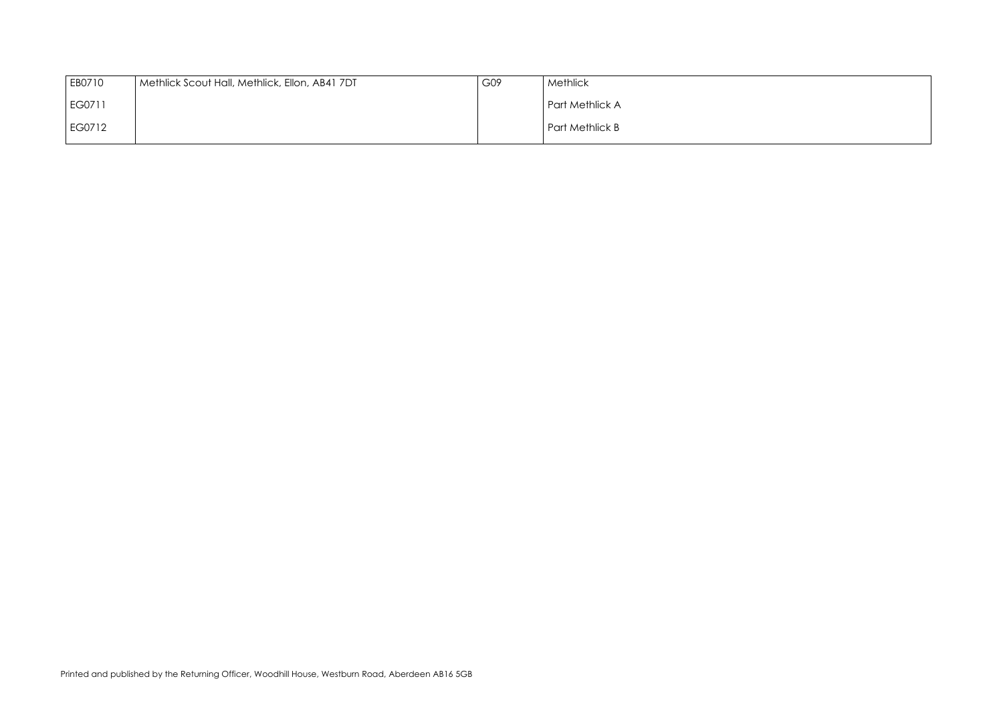

| EB0710 | Methlick Scout Hall, Methlick, Ellon, AB41 7DT | G09 | Methlick        |
|--------|------------------------------------------------|-----|-----------------|
| EG0711 |                                                |     | Part Methlick A |
| EG0712 |                                                |     | Part Methlick B |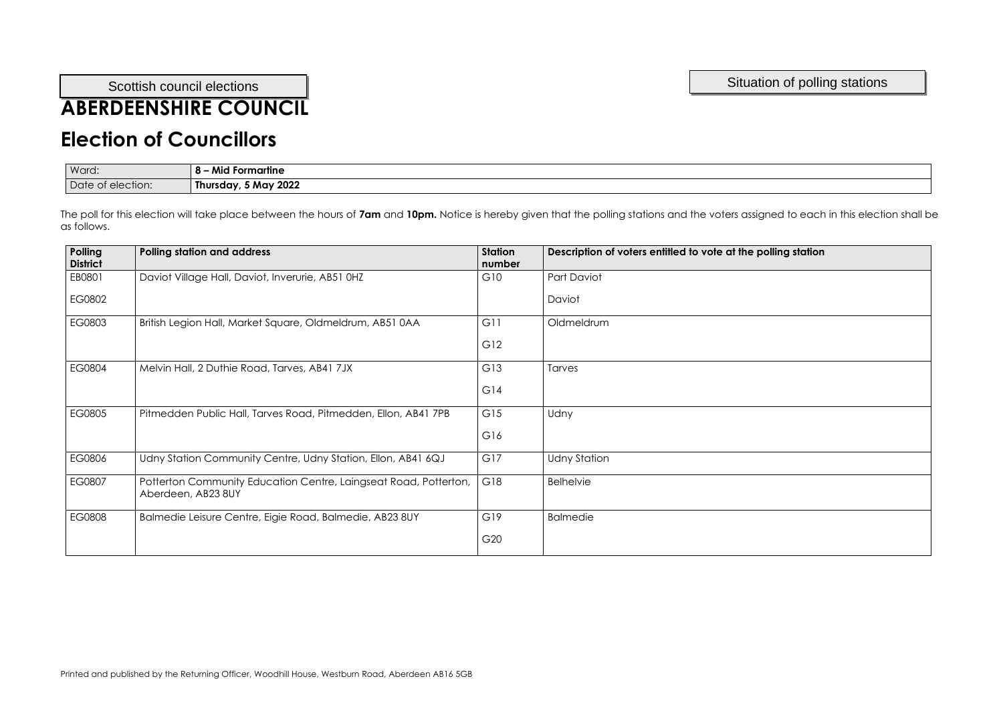## **ABERDEENSHIRE COUNCIL**

## **Election of Councillors**

| Ward:             | Mid<br>.<br><b>Formartine</b> |
|-------------------|-------------------------------|
| Date of election: | Thursday, 5 May 2022          |

| <b>Polling</b><br><b>District</b> | <b>Polling station and address</b>                                                     | <b>Station</b><br>number | Description of voters entitled to vote at the polling station |
|-----------------------------------|----------------------------------------------------------------------------------------|--------------------------|---------------------------------------------------------------|
| EB0801                            | Daviot Village Hall, Daviot, Inverurie, AB51 0HZ                                       | G10                      | Part Daviot                                                   |
| EG0802                            |                                                                                        |                          | Daviot                                                        |
| EG0803                            | British Legion Hall, Market Square, Oldmeldrum, AB51 0AA                               | G11                      | Oldmeldrum                                                    |
|                                   |                                                                                        | G12                      |                                                               |
| EG0804                            | Melvin Hall, 2 Duthie Road, Tarves, AB41 7JX                                           | G13                      | Tarves                                                        |
|                                   |                                                                                        | G14                      |                                                               |
| EG0805                            | Pitmedden Public Hall, Tarves Road, Pitmedden, Ellon, AB41 7PB                         | G15                      | Udny                                                          |
|                                   |                                                                                        | G16                      |                                                               |
| EG0806                            | Udny Station Community Centre, Udny Station, Ellon, AB41 6QJ                           | G17                      | <b>Udny Station</b>                                           |
| EG0807                            | Potterton Community Education Centre, Laingseat Road, Potterton,<br>Aberdeen, AB23 8UY | G18                      | <b>Belhelvie</b>                                              |
| EG0808                            | Balmedie Leisure Centre, Eigie Road, Balmedie, AB23 8UY                                | G19                      | <b>Balmedie</b>                                               |
|                                   |                                                                                        | G <sub>20</sub>          |                                                               |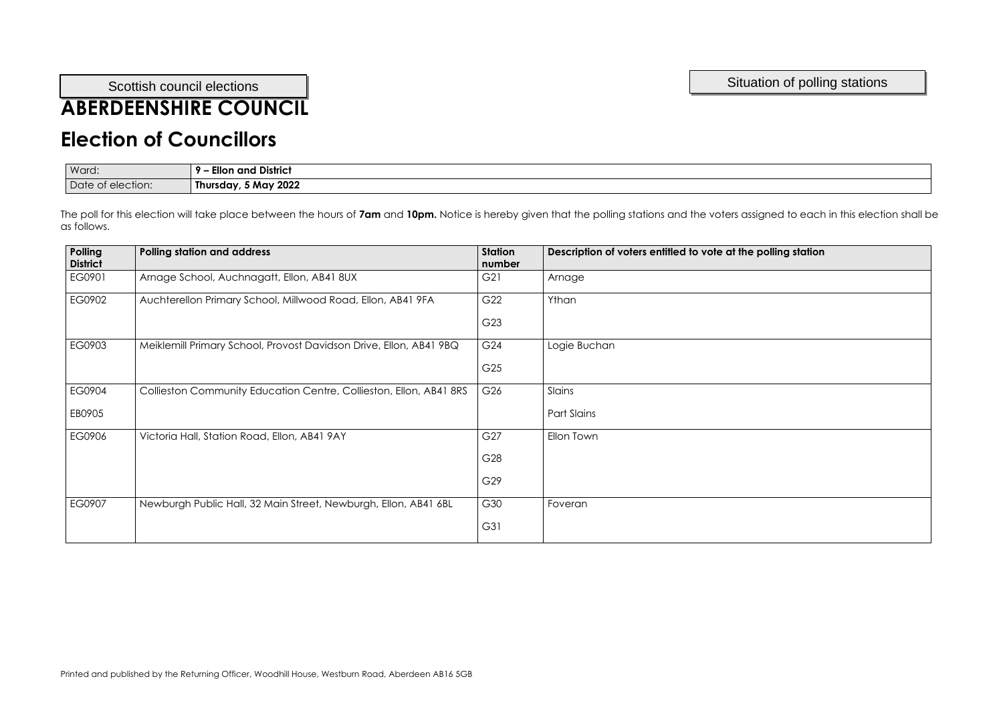# **ABERDEENSHIRE COUNCIL**

### **Election of Councillors**

| Ward:                | <b>District</b><br>and<br>cilor  |
|----------------------|----------------------------------|
| Date of<br>election: | v 2022<br>, J Mav ∩<br>Thursday, |

| number                          |
|---------------------------------|
| G21<br>Arnage                   |
| G <sub>22</sub><br>Ythan        |
| G <sub>23</sub>                 |
| G <sub>24</sub><br>Logie Buchan |
| G <sub>25</sub>                 |
| G26<br>Slains                   |
| <b>Part Slains</b>              |
| G27<br>Ellon Town               |
| G28                             |
| G29                             |
| G30<br>Foveran                  |
| G31                             |
|                                 |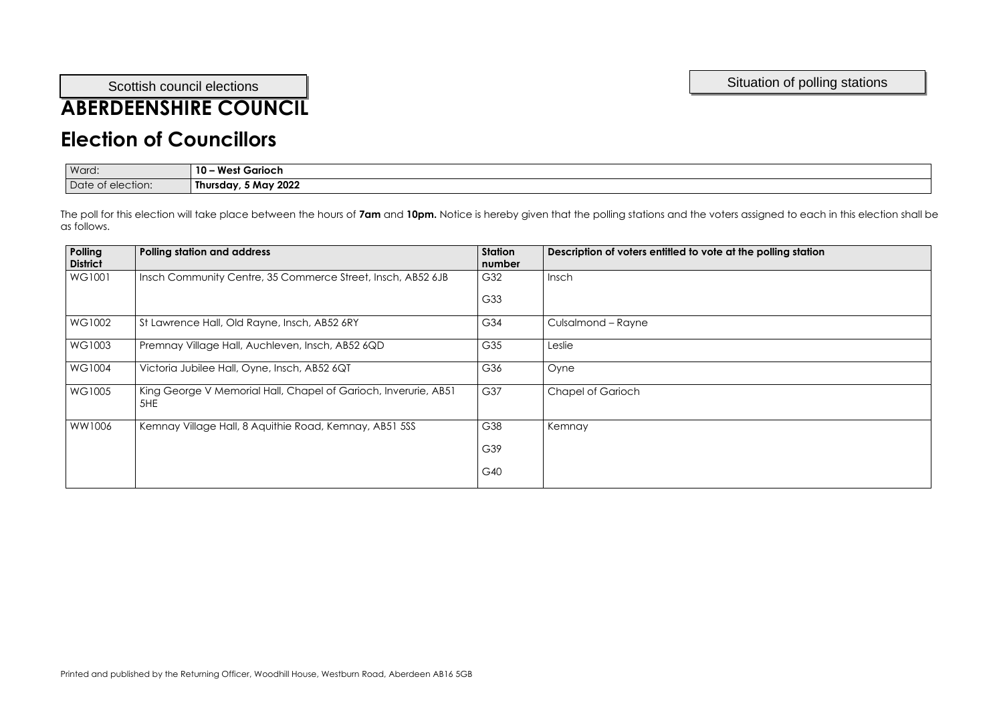## **ABERDEENSHIRE COUNCIL**

## **Election of Councillors**

| Ward:                  | West<br>est Garioch<br><b>10.</b> |
|------------------------|-----------------------------------|
| Date of<br>t election: | 5 May 2022<br>Thursday,           |

| Polling<br><b>District</b> | <b>Polling station and address</b>                                     | <b>Station</b><br>number | Description of voters entitled to vote at the polling station |
|----------------------------|------------------------------------------------------------------------|--------------------------|---------------------------------------------------------------|
| WG1001                     | Insch Community Centre, 35 Commerce Street, Insch, AB52 6JB            | G32                      | Insch                                                         |
|                            |                                                                        | G33                      |                                                               |
| WG1002                     | St Lawrence Hall, Old Rayne, Insch, AB52 6RY                           | G34                      | Culsalmond - Rayne                                            |
| WG1003                     | Premnay Village Hall, Auchleven, Insch, AB52 6QD                       | G35                      | Leslie                                                        |
| <b>WG1004</b>              | Victoria Jubilee Hall, Oyne, Insch, AB52 6QT                           | G36                      | Oyne                                                          |
| WG1005                     | King George V Memorial Hall, Chapel of Garioch, Inverurie, AB51<br>5HE | G37                      | <b>Chapel of Garioch</b>                                      |
| WW1006                     | Kemnay Village Hall, 8 Aquithie Road, Kemnay, AB51 5SS                 | G38                      | Kemnay                                                        |
|                            |                                                                        | G39                      |                                                               |
|                            |                                                                        | G40                      |                                                               |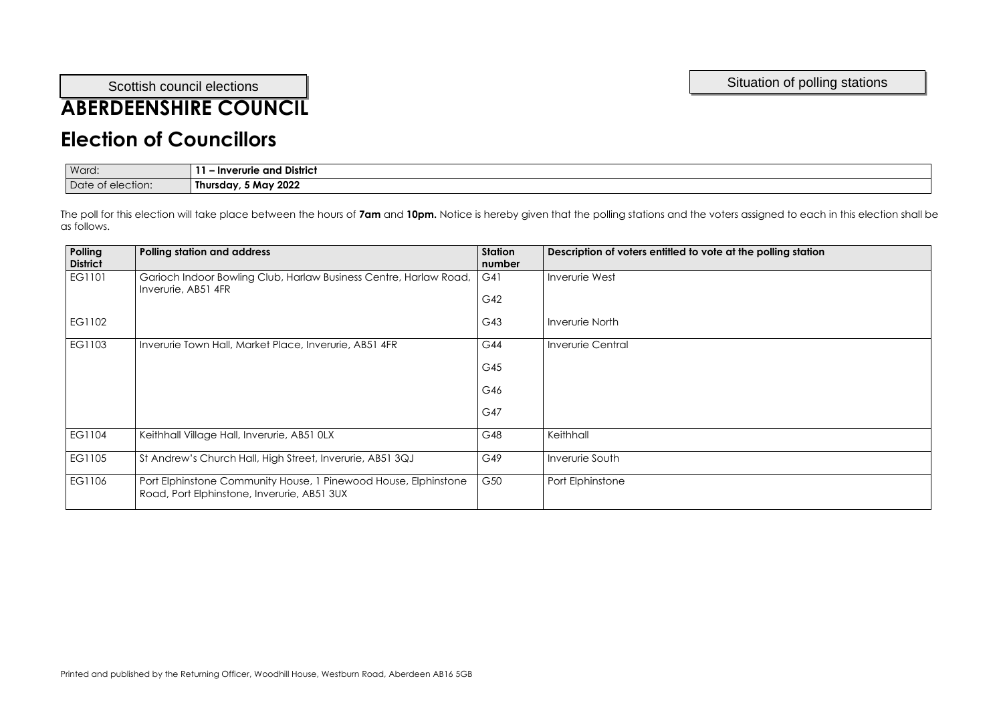## **ABERDEENSHIRE COUNCIL**

#### **Election of Councillors**

| Ward:             | and District<br>· Inverurie |
|-------------------|-----------------------------|
| Date of election: | 5 May 2022<br>Thursday,     |

| Polling<br><b>District</b> | <b>Polling station and address</b>                                                                             | <b>Station</b><br>number | Description of voters entitled to vote at the polling station |
|----------------------------|----------------------------------------------------------------------------------------------------------------|--------------------------|---------------------------------------------------------------|
| EG1101                     | Garioch Indoor Bowling Club, Harlaw Business Centre, Harlaw Road,<br>Inverurie, AB51 4FR                       | G41<br>G42               | Inverurie West                                                |
| EG1102                     |                                                                                                                | G43                      | <b>Inverurie North</b>                                        |
| EG1103                     | Inverurie Town Hall, Market Place, Inverurie, AB51 4FR                                                         | G44                      | <b>Inverurie Central</b>                                      |
|                            |                                                                                                                | G45                      |                                                               |
|                            |                                                                                                                | G46                      |                                                               |
|                            |                                                                                                                | G47                      |                                                               |
| EG1104                     | Keithhall Village Hall, Inverurie, AB51 0LX                                                                    | G48                      | Keithhall                                                     |
| EG1105                     | St Andrew's Church Hall, High Street, Inverurie, AB51 3QJ                                                      | G49                      | Inverurie South                                               |
| EG1106                     | Port Elphinstone Community House, 1 Pinewood House, Elphinstone<br>Road, Port Elphinstone, Inverurie, AB51 3UX | G50                      | Port Elphinstone                                              |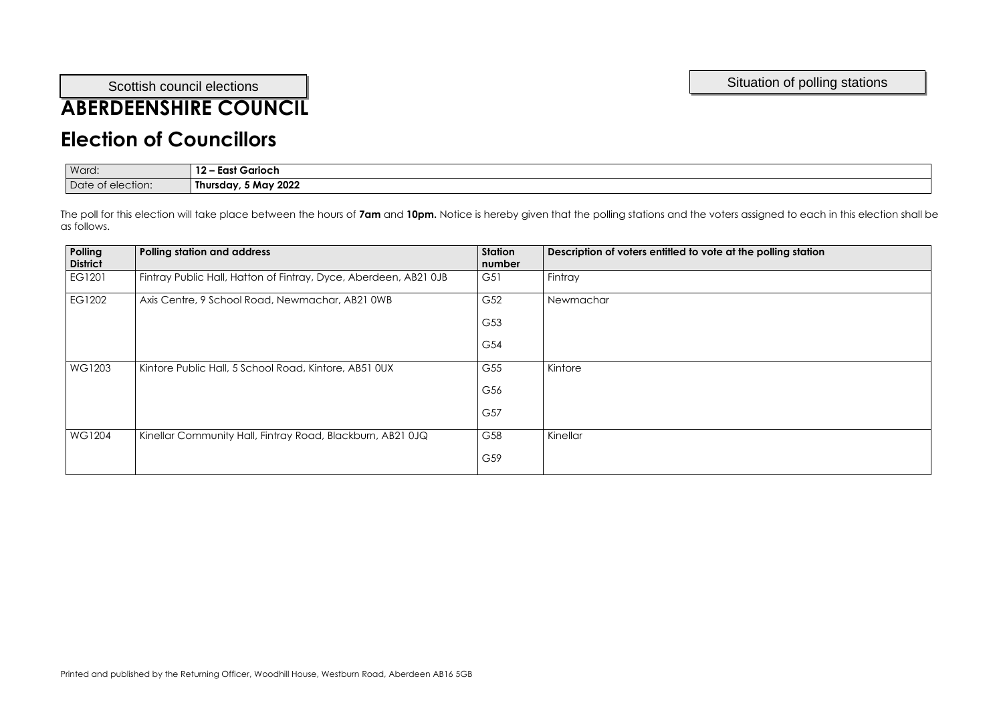## **ABERDEENSHIRE COUNCIL**

## **Election of Councillors**

| Ward:                | 1 O<br>Garioch<br>East        |
|----------------------|-------------------------------|
| Date of<br>election: | May 2022 M<br>--<br>Thursday, |

| Polling<br><b>District</b> | <b>Polling station and address</b>                               | <b>Station</b><br>number | Description of voters entitled to vote at the polling station |
|----------------------------|------------------------------------------------------------------|--------------------------|---------------------------------------------------------------|
| EG1201                     | Fintray Public Hall, Hatton of Fintray, Dyce, Aberdeen, AB21 0JB | G51                      | Fintray                                                       |
| EG1202                     | Axis Centre, 9 School Road, Newmachar, AB21 0WB                  | G52                      | Newmachar                                                     |
|                            |                                                                  | G53                      |                                                               |
|                            |                                                                  | G54                      |                                                               |
| WG1203                     | Kintore Public Hall, 5 School Road, Kintore, AB51 0UX            | G55                      | Kintore                                                       |
|                            |                                                                  | G56                      |                                                               |
|                            |                                                                  | G57                      |                                                               |
| <b>WG1204</b>              | Kinellar Community Hall, Fintray Road, Blackburn, AB21 0JQ       | G58                      | Kinellar                                                      |
|                            |                                                                  | G59                      |                                                               |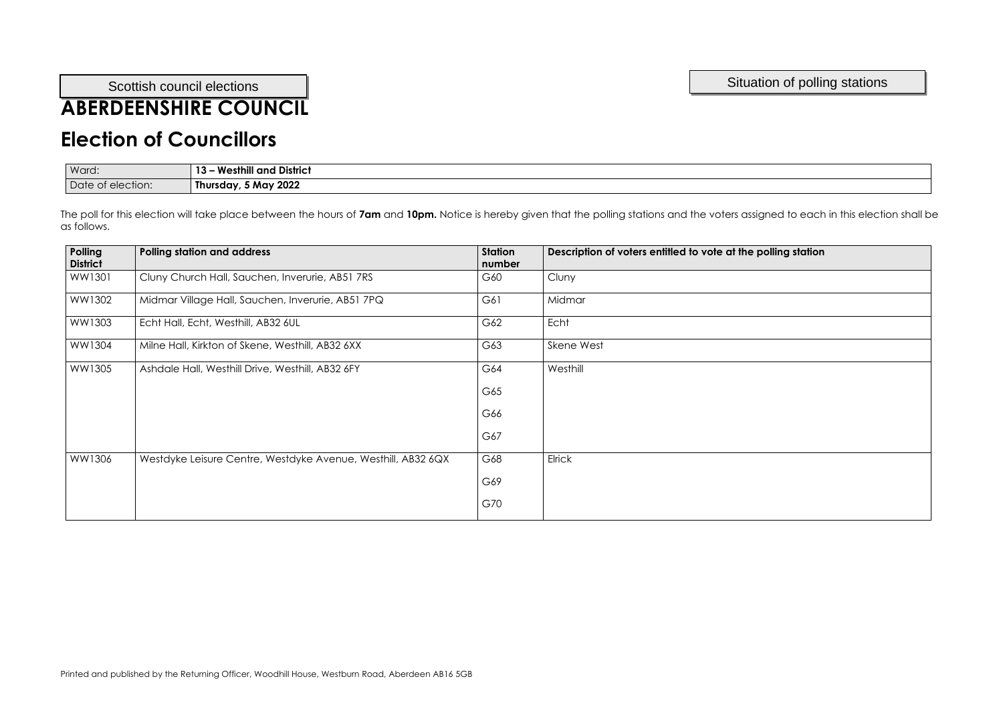# **ABERDEENSHIRE COUNCIL**

### **Election of Councillors**

| Ward:             | <b>Westhill and</b><br><b>District</b><br>. |
|-------------------|---------------------------------------------|
| Date of election: | 5 May 2022<br>Thursday,                     |

| Polling<br><b>District</b> | <b>Polling station and address</b>                           | <b>Station</b><br>number | Description of voters entitled to vote at the polling station |
|----------------------------|--------------------------------------------------------------|--------------------------|---------------------------------------------------------------|
| WW1301                     | Cluny Church Hall, Sauchen, Inverurie, AB51 7RS              | G60                      | Cluny                                                         |
| WW1302                     | Midmar Village Hall, Sauchen, Inverurie, AB51 7PQ            | G61                      | Midmar                                                        |
| WW1303                     | Echt Hall, Echt, Westhill, AB32 6UL                          | G62                      | Echt                                                          |
| WW1304                     | Milne Hall, Kirkton of Skene, Westhill, AB32 6XX             | G63                      | Skene West                                                    |
| WW1305                     | Ashdale Hall, Westhill Drive, Westhill, AB32 6FY             | G64                      | Westhill                                                      |
|                            |                                                              | G65                      |                                                               |
|                            |                                                              | G66                      |                                                               |
|                            |                                                              | G67                      |                                                               |
| WW1306                     | Westdyke Leisure Centre, Westdyke Avenue, Westhill, AB32 6QX | G68                      | Elrick                                                        |
|                            |                                                              | G69                      |                                                               |
|                            |                                                              | G70                      |                                                               |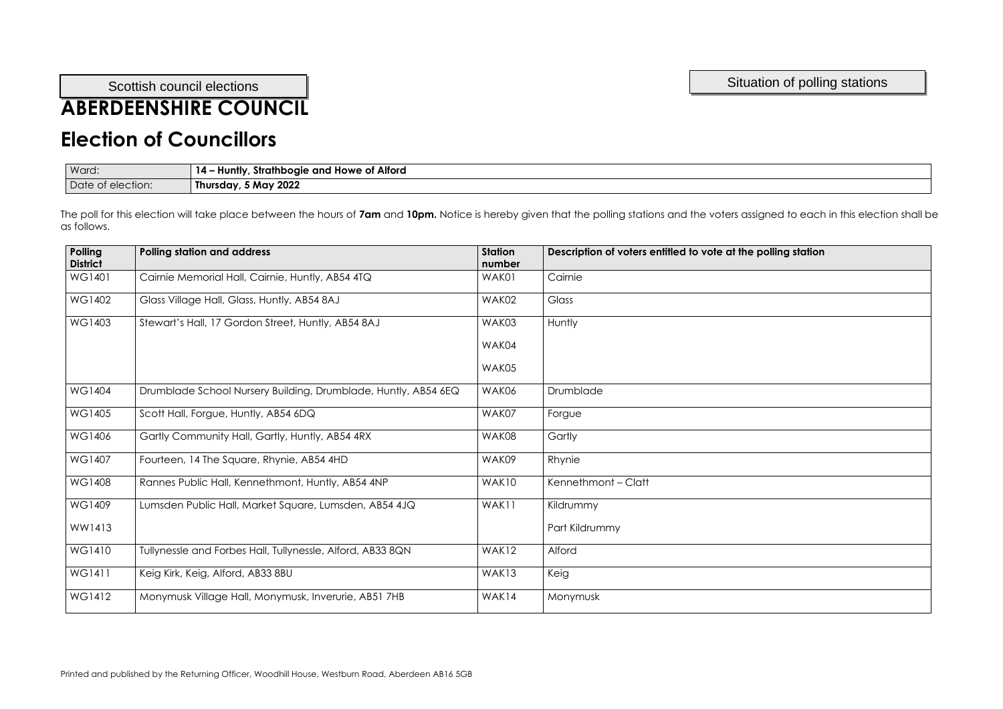## **ABERDEENSHIRE COUNCIL**

#### **Election of Councillors**

| Ward:             | - Huntly, Strathbogie and Howe of Alford<br>$14 -$ |
|-------------------|----------------------------------------------------|
| Date of election: | Thursday, 5 May 2022                               |

| Polling<br><b>District</b> | <b>Polling station and address</b>                             | <b>Station</b><br>number | Description of voters entitled to vote at the polling station |
|----------------------------|----------------------------------------------------------------|--------------------------|---------------------------------------------------------------|
| WG1401                     | Cairnie Memorial Hall, Cairnie, Huntly, AB54 4TQ               | WAK01                    | Cairnie                                                       |
| WG1402                     | Glass Village Hall, Glass, Huntly, AB54 8AJ                    | WAK02                    | Glass                                                         |
| WG1403                     | Stewart's Hall, 17 Gordon Street, Huntly, AB54 8AJ             | WAK03                    | Huntly                                                        |
|                            |                                                                | WAK04                    |                                                               |
|                            |                                                                | WAK05                    |                                                               |
| <b>WG1404</b>              | Drumblade School Nursery Building, Drumblade, Huntly, AB54 6EQ | WAK06                    | Drumblade                                                     |
| WG1405                     | Scott Hall, Forgue, Huntly, AB54 6DQ                           | WAK07                    | Forgue                                                        |
| WG1406                     | Gartly Community Hall, Gartly, Huntly, AB54 4RX                | WAK08                    | Gartly                                                        |
| WG1407                     | Fourteen, 14 The Square, Rhynie, AB54 4HD                      | WAK09                    | Rhynie                                                        |
| WG1408                     | Rannes Public Hall, Kennethmont, Huntly, AB54 4NP              | WAK10                    | Kennethmont - Clatt                                           |
| WG1409                     | Lumsden Public Hall, Market Square, Lumsden, AB54 4JQ          | WAK11                    | Kildrummy                                                     |
| WW1413                     |                                                                |                          | Part Kildrummy                                                |
| WG1410                     | Tullynessle and Forbes Hall, Tullynessle, Alford, AB33 8QN     | WAK12                    | Alford                                                        |
| WG1411                     | Keig Kirk, Keig, Alford, AB33 8BU                              | WAK13                    | Keig                                                          |
| WG1412                     | Monymusk Village Hall, Monymusk, Inverurie, AB51 7HB           | WAK14                    | Monymusk                                                      |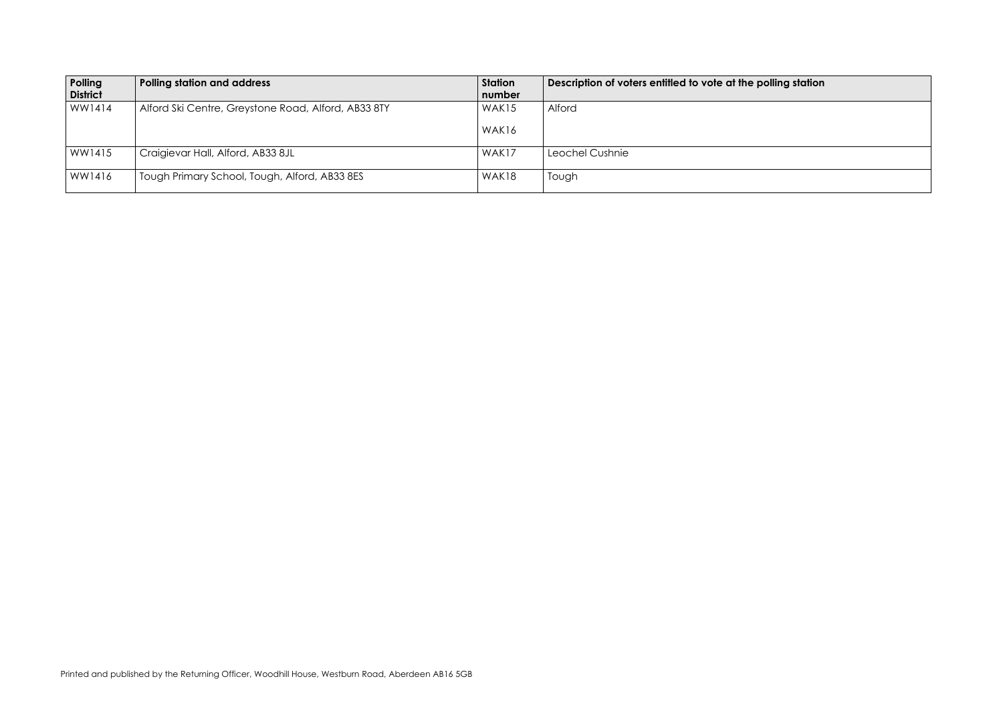#### polling station

| Polling<br><b>District</b> | <b>Polling station and address</b>                  | Station<br>number | Description of voters entitled to vote at the |
|----------------------------|-----------------------------------------------------|-------------------|-----------------------------------------------|
| WW1414                     | Alford Ski Centre, Greystone Road, Alford, AB33 8TY | WAK <sub>15</sub> | Alford                                        |
|                            |                                                     | WAK16             |                                               |
| WW1415                     | Craigievar Hall, Alford, AB33 8JL                   | WAK17             | Leochel Cushnie                               |
| WW1416                     | Tough Primary School, Tough, Alford, AB33 8ES       | WAK18             | Tough                                         |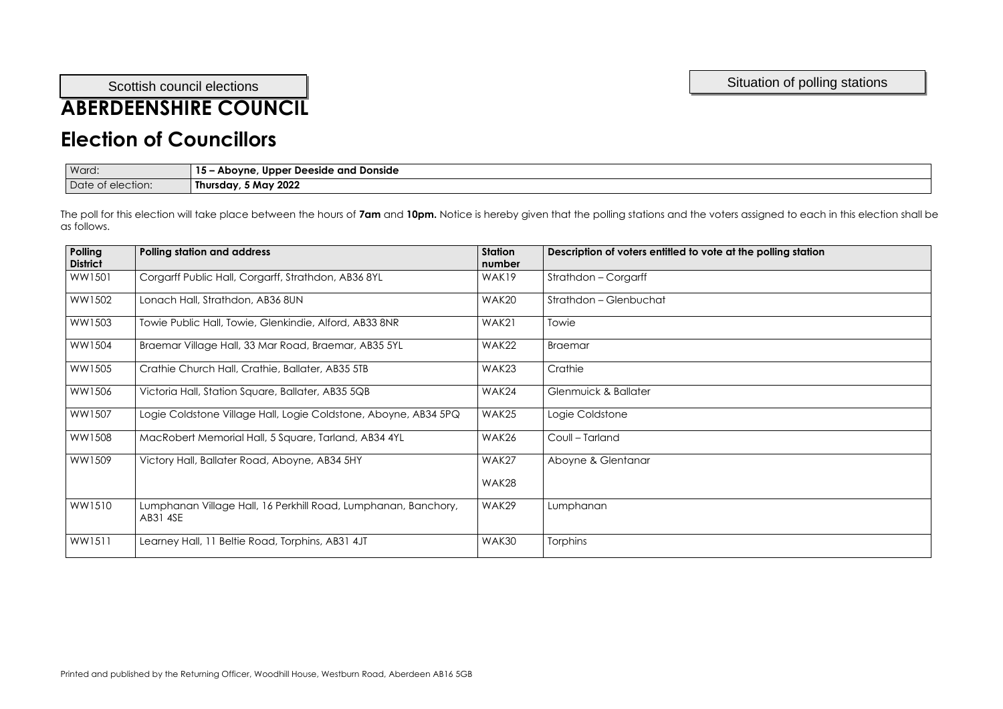## **ABERDEENSHIRE COUNCIL**

#### **Election of Councillors**

| Ward:             | - Aboyne, Upper Deeside and Donside<br>$15 -$ |
|-------------------|-----------------------------------------------|
| Date of election: | Thursday, 5 May 2022                          |

| Polling<br><b>District</b> | <b>Polling station and address</b>                                         | <b>Station</b><br>number | Description of voters entitled to vote at the polling station |
|----------------------------|----------------------------------------------------------------------------|--------------------------|---------------------------------------------------------------|
| WW1501                     | Corgarff Public Hall, Corgarff, Strathdon, AB36 8YL                        | WAK19                    | Strathdon - Corgarff                                          |
| WW1502                     | Lonach Hall, Strathdon, AB36 8UN                                           | WAK20                    | Strathdon - Glenbuchat                                        |
| WW1503                     | Towie Public Hall, Towie, Glenkindie, Alford, AB33 8NR                     | WAK21                    | Towie                                                         |
| WW1504                     | Braemar Village Hall, 33 Mar Road, Braemar, AB35 5YL                       | WAK22                    | <b>Braemar</b>                                                |
| WW1505                     | Crathie Church Hall, Crathie, Ballater, AB35 5TB                           | WAK23                    | Crathie                                                       |
| WW1506                     | Victoria Hall, Station Square, Ballater, AB35 5QB                          | WAK24                    | Glenmuick & Ballater                                          |
| WW1507                     | Logie Coldstone Village Hall, Logie Coldstone, Aboyne, AB34 5PQ            | WAK25                    | Logie Coldstone                                               |
| WW1508                     | MacRobert Memorial Hall, 5 Square, Tarland, AB34 4YL                       | WAK26                    | Coull - Tarland                                               |
| WW1509                     | Victory Hall, Ballater Road, Aboyne, AB34 5HY                              | WAK27                    | Aboyne & Glentanar                                            |
|                            |                                                                            | WAK28                    |                                                               |
| WW1510                     | Lumphanan Village Hall, 16 Perkhill Road, Lumphanan, Banchory,<br>AB31 4SE | WAK29                    | Lumphanan                                                     |
| WW1511                     | Learney Hall, 11 Beltie Road, Torphins, AB31 4JT                           | WAK30                    | <b>Torphins</b>                                               |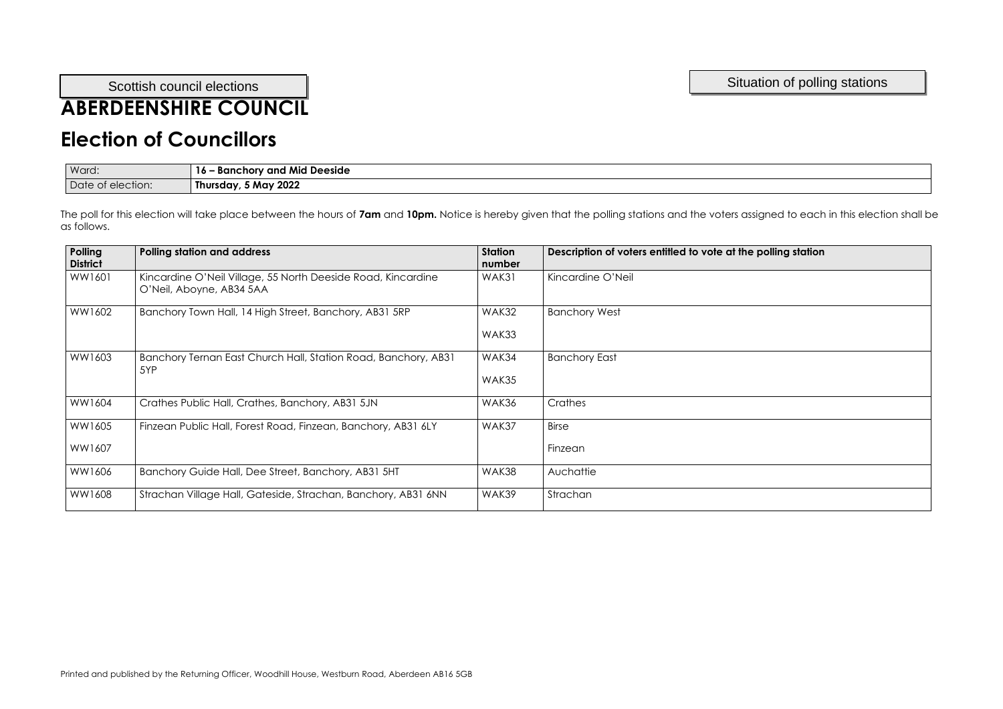## **ABERDEENSHIRE COUNCIL**

#### **Election of Councillors**

| Ward:                | - Banchory and Mid Deeside<br>IO. |
|----------------------|-----------------------------------|
| Date<br>ot election: | 5 May 2022<br>Thursday,           |

| Polling<br><b>District</b> | <b>Polling station and address</b>                                                       | <b>Station</b><br>number | Description of voters entitled to vote at the polling station |
|----------------------------|------------------------------------------------------------------------------------------|--------------------------|---------------------------------------------------------------|
| WW1601                     | Kincardine O'Neil Village, 55 North Deeside Road, Kincardine<br>O'Neil, Aboyne, AB34 5AA | WAK31                    | Kincardine O'Neil                                             |
| WW1602                     | Banchory Town Hall, 14 High Street, Banchory, AB31 5RP                                   | WAK32                    | <b>Banchory West</b>                                          |
|                            |                                                                                          | WAK33                    |                                                               |
| WW1603                     | Banchory Ternan East Church Hall, Station Road, Banchory, AB31<br>5YP                    | WAK34                    | <b>Banchory East</b>                                          |
|                            |                                                                                          | WAK35                    |                                                               |
| WW1604                     | Crathes Public Hall, Crathes, Banchory, AB31 5JN                                         | WAK36                    | Crathes                                                       |
| WW1605                     | Finzean Public Hall, Forest Road, Finzean, Banchory, AB31 6LY                            | WAK37                    | <b>Birse</b>                                                  |
| WW1607                     |                                                                                          |                          | Finzean                                                       |
| WW1606                     | Banchory Guide Hall, Dee Street, Banchory, AB31 5HT                                      | WAK38                    | Auchattie                                                     |
| WW1608                     | Strachan Village Hall, Gateside, Strachan, Banchory, AB31 6NN                            | WAK39                    | Strachan                                                      |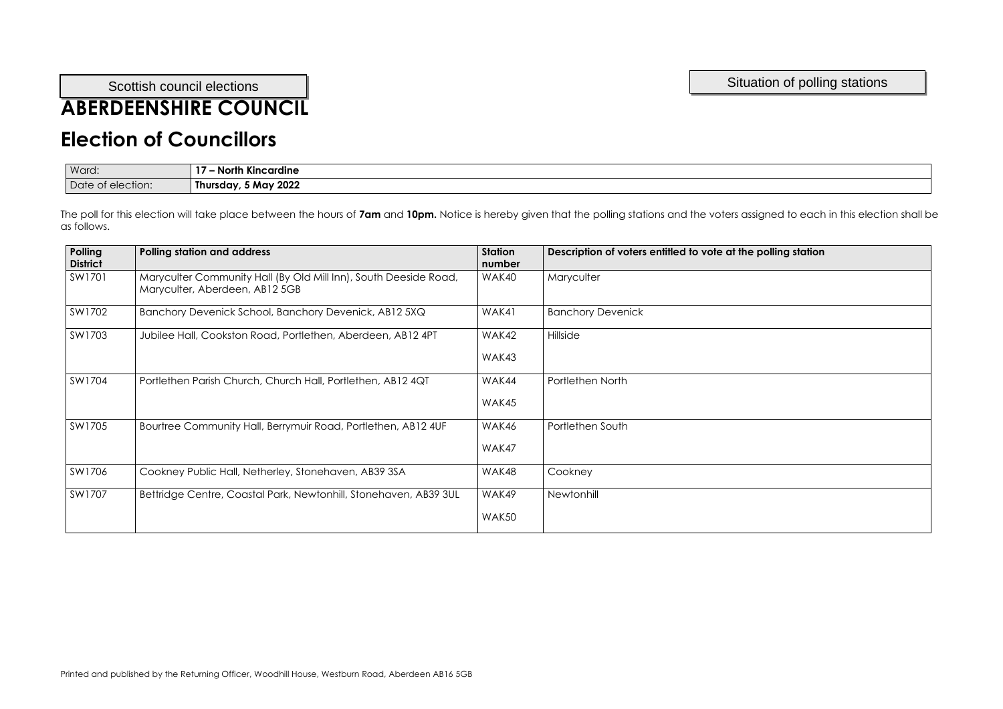## **ABERDEENSHIRE COUNCIL**

#### **Election of Councillors**

| Ward:                  | $\bullet$<br><b>North Kincardine</b> |
|------------------------|--------------------------------------|
| Date of<br>t election: | 5 May 2022<br>Thursday,              |

| Polling<br><b>District</b> | <b>Polling station and address</b>                                                                 | <b>Station</b><br>number | Description of voters entitled to vote at the polling station |
|----------------------------|----------------------------------------------------------------------------------------------------|--------------------------|---------------------------------------------------------------|
| SW1701                     | Maryculter Community Hall (By Old Mill Inn), South Deeside Road,<br>Maryculter, Aberdeen, AB12 5GB | WAK40                    | Maryculter                                                    |
| SW1702                     | Banchory Devenick School, Banchory Devenick, AB12 5XQ                                              | WAK41                    | <b>Banchory Devenick</b>                                      |
| SW1703                     | Jubilee Hall, Cookston Road, Portlethen, Aberdeen, AB12 4PT                                        | WAK42                    | Hillside                                                      |
|                            |                                                                                                    | WAK43                    |                                                               |
| SW1704                     | Portlethen Parish Church, Church Hall, Portlethen, AB12 4QT                                        | WAK44                    | Portlethen North                                              |
|                            |                                                                                                    | WAK45                    |                                                               |
| SW1705                     | Bourtree Community Hall, Berrymuir Road, Portlethen, AB12 4UF                                      | WAK46                    | Portlethen South                                              |
|                            |                                                                                                    | WAK47                    |                                                               |
| SW1706                     | Cookney Public Hall, Netherley, Stonehaven, AB39 3SA                                               | WAK48                    | Cookney                                                       |
| SW1707                     | Bettridge Centre, Coastal Park, Newtonhill, Stonehaven, AB39 3UL                                   | WAK49                    | Newtonhill                                                    |
|                            |                                                                                                    | WAK50                    |                                                               |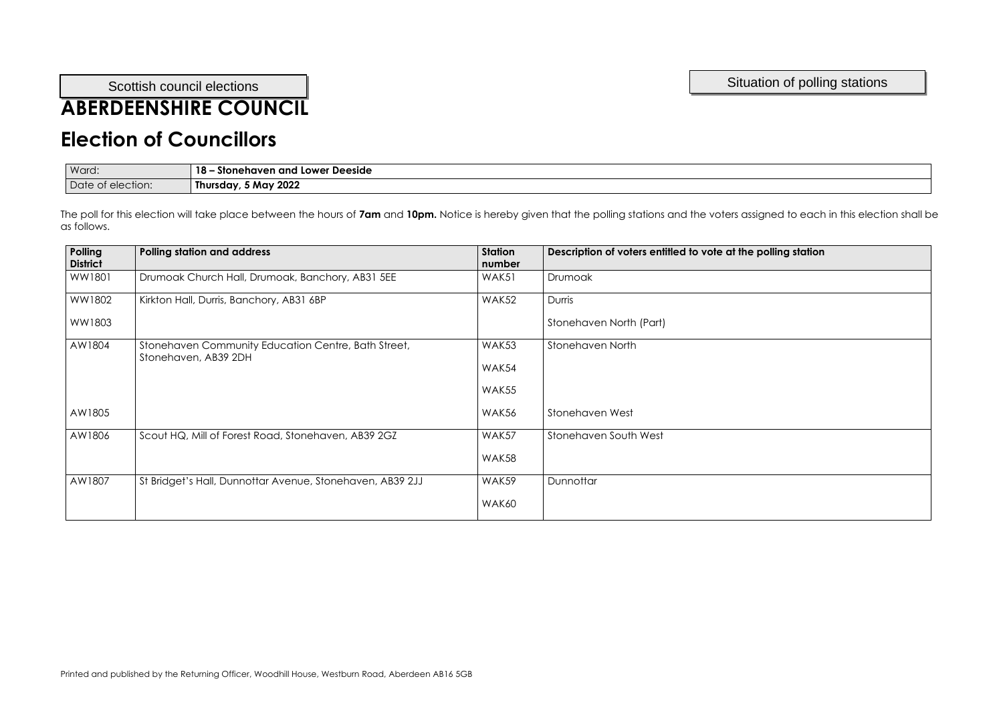## **ABERDEENSHIRE COUNCIL**

#### **Election of Councillors**

| Ward:             | 18<br>- Stonehaven and Lower Deeside |
|-------------------|--------------------------------------|
| Date of election: | Thursday, 5 May 2022                 |

| Polling<br><b>District</b> | <b>Polling station and address</b>                                          | <b>Station</b><br>number | Description of voters entitled to vote at the polling station |
|----------------------------|-----------------------------------------------------------------------------|--------------------------|---------------------------------------------------------------|
| WW1801                     | Drumoak Church Hall, Drumoak, Banchory, AB31 5EE                            | WAK51                    | Drumoak                                                       |
| WW1802                     | Kirkton Hall, Durris, Banchory, AB31 6BP                                    | WAK52                    | Durris                                                        |
| WW1803                     |                                                                             |                          | Stonehaven North (Part)                                       |
| AW1804                     | Stonehaven Community Education Centre, Bath Street,<br>Stonehaven, AB39 2DH | WAK53                    | <b>Stonehaven North</b>                                       |
|                            |                                                                             | WAK54                    |                                                               |
|                            |                                                                             | WAK55                    |                                                               |
| AW1805                     |                                                                             | WAK56                    | Stonehaven West                                               |
| AW1806                     | Scout HQ, Mill of Forest Road, Stonehaven, AB39 2GZ                         | WAK57                    | Stonehaven South West                                         |
|                            |                                                                             | WAK58                    |                                                               |
| AW1807                     | St Bridget's Hall, Dunnottar Avenue, Stonehaven, AB39 2JJ                   | WAK59                    | Dunnottar                                                     |
|                            |                                                                             | WAK60                    |                                                               |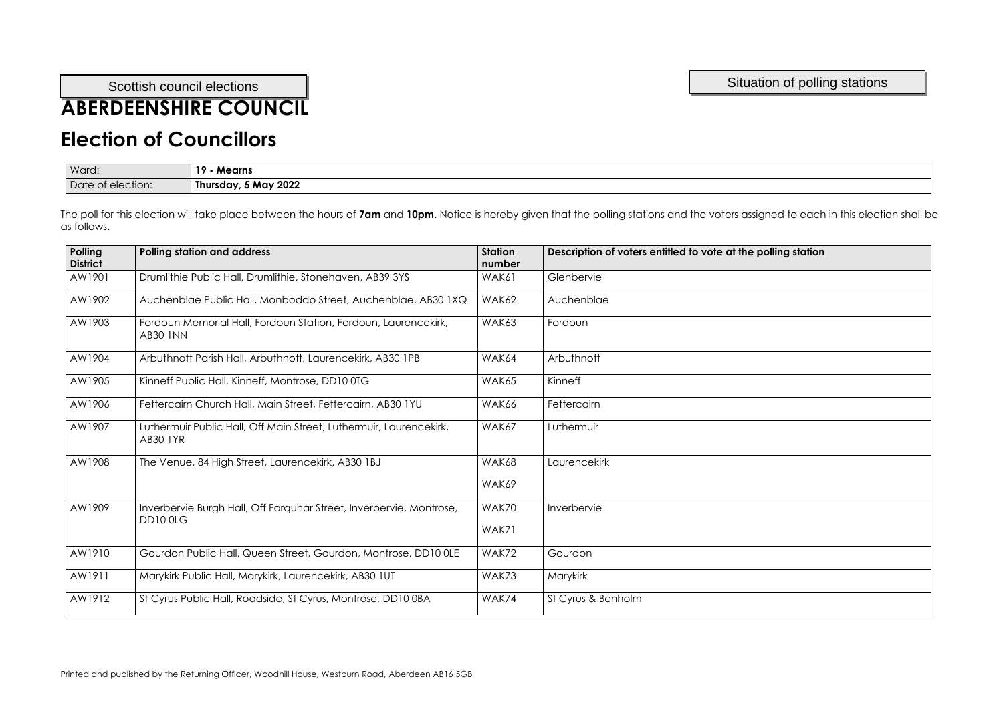## **ABERDEENSHIRE COUNCIL**

## **Election of Councillors**

| Ward:             | - -<br>10<br><b>Mearns</b> |
|-------------------|----------------------------|
| Date of election: | 5 May 2022<br>Thursday,    |

| Polling<br><b>District</b> | <b>Polling station and address</b>                                                    | <b>Station</b><br>number | Description of voters entitled to vote at the polling station |
|----------------------------|---------------------------------------------------------------------------------------|--------------------------|---------------------------------------------------------------|
| AW1901                     | Drumlithie Public Hall, Drumlithie, Stonehaven, AB39 3YS                              | WAK61                    | Glenbervie                                                    |
| AW1902                     | Auchenblae Public Hall, Monboddo Street, Auchenblae, AB30 1XQ                         | WAK62                    | Auchenblae                                                    |
| AW1903                     | Fordoun Memorial Hall, Fordoun Station, Fordoun, Laurencekirk,<br><b>AB30 INN</b>     | WAK63                    | Fordoun                                                       |
| AW1904                     | Arbuthnott Parish Hall, Arbuthnott, Laurencekirk, AB30 1PB                            | WAK64                    | Arbuthnott                                                    |
| AW1905                     | Kinneff Public Hall, Kinneff, Montrose, DD10 0TG                                      | WAK65                    | Kinneff                                                       |
| AW1906                     | Fettercairn Church Hall, Main Street, Fettercairn, AB30 1YU                           | WAK66                    | Fettercairn                                                   |
| AW1907                     | Luthermuir Public Hall, Off Main Street, Luthermuir, Laurencekirk,<br><b>AB30 1YR</b> | WAK67                    | Luthermuir                                                    |
| AW1908                     | The Venue, 84 High Street, Laurencekirk, AB30 1BJ                                     | WAK68                    | Laurencekirk                                                  |
|                            |                                                                                       | WAK69                    |                                                               |
| AW1909                     | Inverbervie Burgh Hall, Off Farquhar Street, Inverbervie, Montrose,<br>DD100LG        | WAK70                    | Inverbervie                                                   |
|                            |                                                                                       | WAK71                    |                                                               |
| AW1910                     | Gourdon Public Hall, Queen Street, Gourdon, Montrose, DD10 0LE                        | WAK72                    | Gourdon                                                       |
| AW1911                     | Marykirk Public Hall, Marykirk, Laurencekirk, AB30 1UT                                | WAK73                    | <b>Marykirk</b>                                               |
| AW1912                     | St Cyrus Public Hall, Roadside, St Cyrus, Montrose, DD10 0BA                          | WAK74                    | St Cyrus & Benholm                                            |